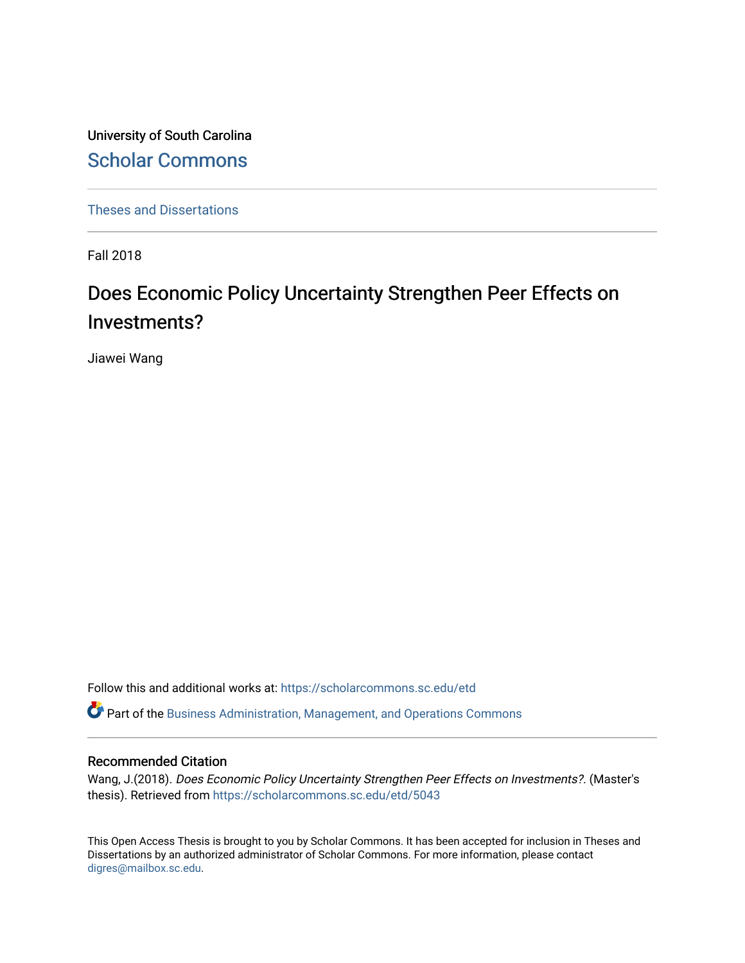University of South Carolina [Scholar Commons](https://scholarcommons.sc.edu/) 

[Theses and Dissertations](https://scholarcommons.sc.edu/etd)

Fall 2018

# Does Economic Policy Uncertainty Strengthen Peer Effects on Investments?

Jiawei Wang

Follow this and additional works at: [https://scholarcommons.sc.edu/etd](https://scholarcommons.sc.edu/etd?utm_source=scholarcommons.sc.edu%2Fetd%2F5043&utm_medium=PDF&utm_campaign=PDFCoverPages)

Part of the [Business Administration, Management, and Operations Commons](http://network.bepress.com/hgg/discipline/623?utm_source=scholarcommons.sc.edu%2Fetd%2F5043&utm_medium=PDF&utm_campaign=PDFCoverPages)

#### Recommended Citation

Wang, J.(2018). Does Economic Policy Uncertainty Strengthen Peer Effects on Investments?. (Master's thesis). Retrieved from [https://scholarcommons.sc.edu/etd/5043](https://scholarcommons.sc.edu/etd/5043?utm_source=scholarcommons.sc.edu%2Fetd%2F5043&utm_medium=PDF&utm_campaign=PDFCoverPages) 

This Open Access Thesis is brought to you by Scholar Commons. It has been accepted for inclusion in Theses and Dissertations by an authorized administrator of Scholar Commons. For more information, please contact [digres@mailbox.sc.edu](mailto:digres@mailbox.sc.edu).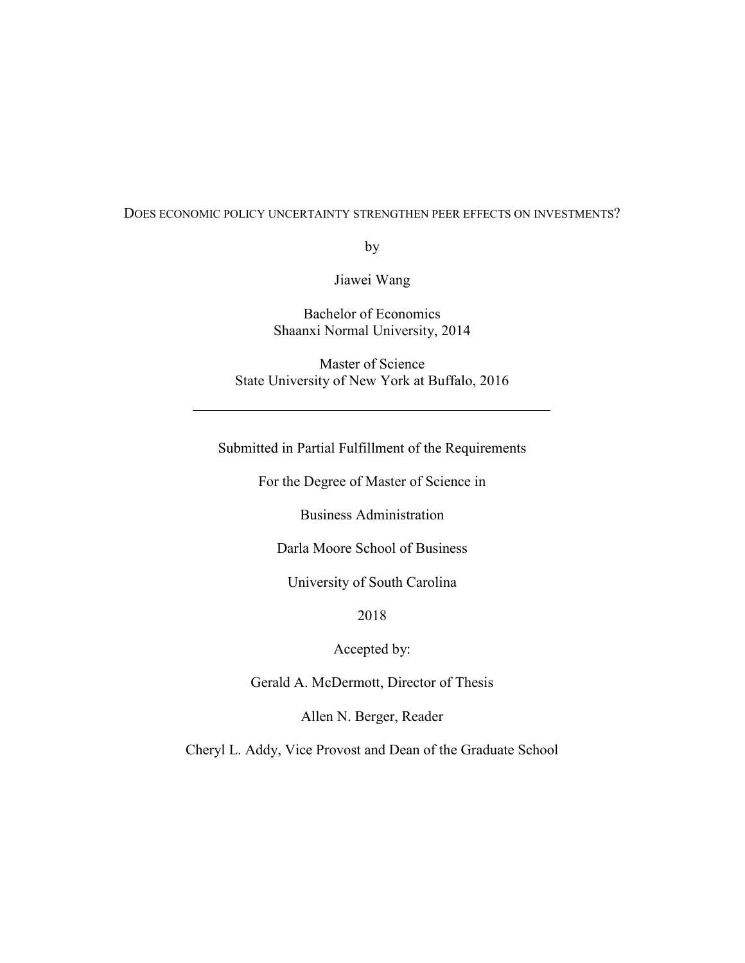#### DOES ECONOMIC POLICY UNCERTAINTY STRENGTHEN PEER EFFECTS ON INVESTMENTS?

by

Jiawei Wang

Bachelor of Economics Shaanxi Normal University, 2014

Master of Science State University of New York at Buffalo, 2016

Submitted in Partial Fulfillment of the Requirements

For the Degree of Master of Science in

Business Administration

Darla Moore School of Business

University of South Carolina

2018

Accepted by:

Gerald A. McDermott, Director of Thesis

Allen N. Berger, Reader

Cheryl L. Addy, Vice Provost and Dean of the Graduate School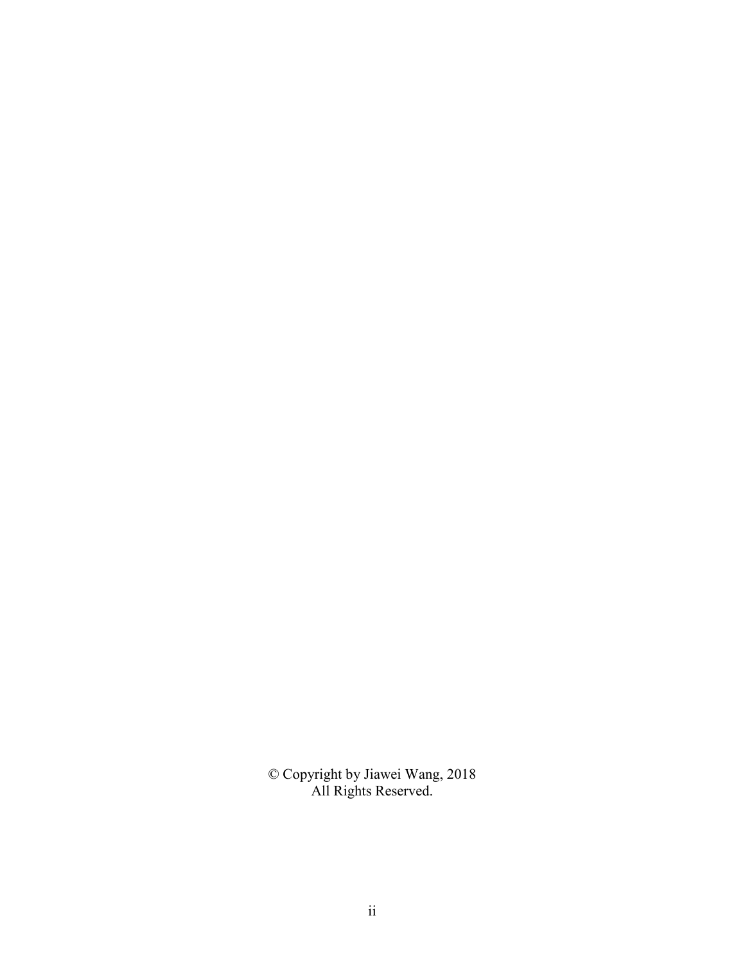© Copyright by Jiawei Wang, 2018 All Rights Reserved.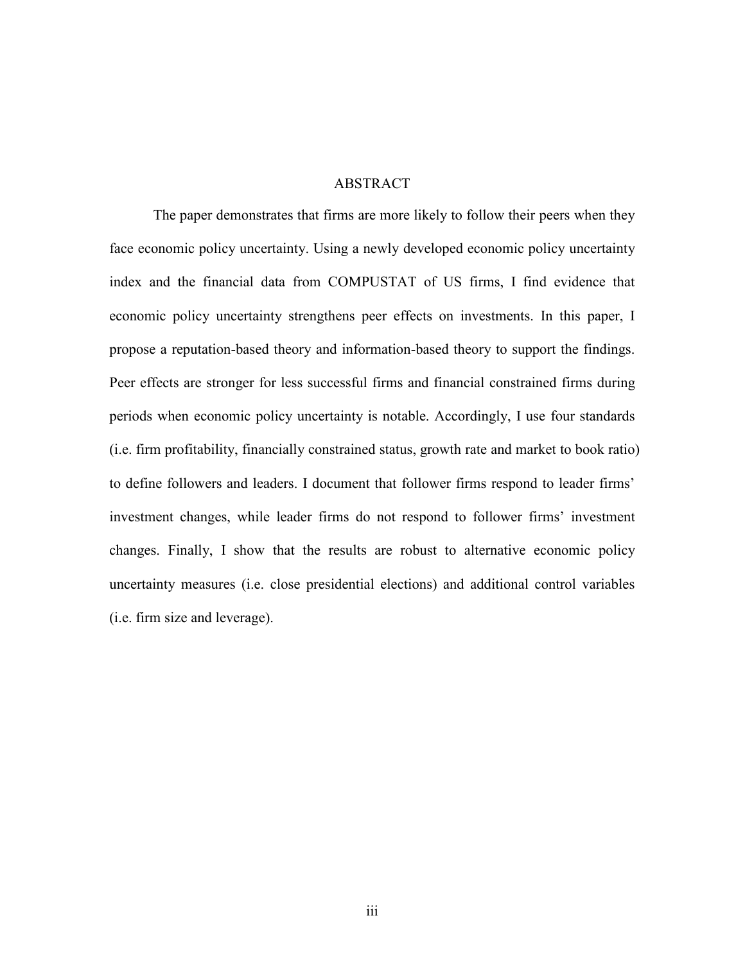#### ABSTRACT

 The paper demonstrates that firms are more likely to follow their peers when they face economic policy uncertainty. Using a newly developed economic policy uncertainty index and the financial data from COMPUSTAT of US firms, I find evidence that economic policy uncertainty strengthens peer effects on investments. In this paper, I propose a reputation-based theory and information-based theory to support the findings. Peer effects are stronger for less successful firms and financial constrained firms during periods when economic policy uncertainty is notable. Accordingly, I use four standards (i.e. firm profitability, financially constrained status, growth rate and market to book ratio) to define followers and leaders. I document that follower firms respond to leader firms' investment changes, while leader firms do not respond to follower firms' investment changes. Finally, I show that the results are robust to alternative economic policy uncertainty measures (i.e. close presidential elections) and additional control variables (i.e. firm size and leverage).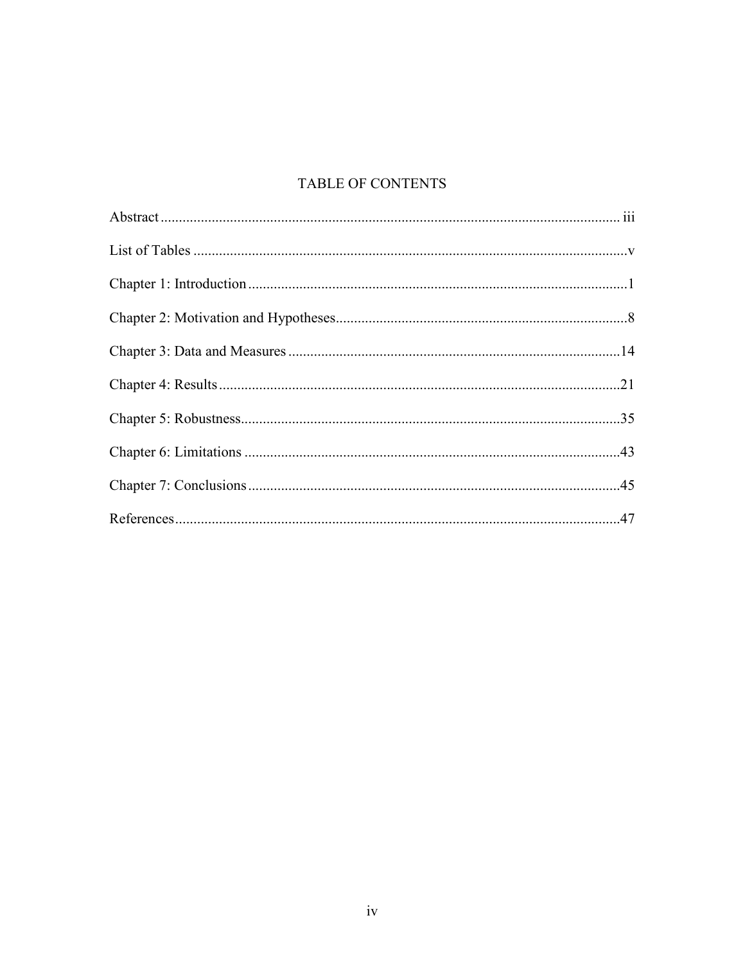# **TABLE OF CONTENTS**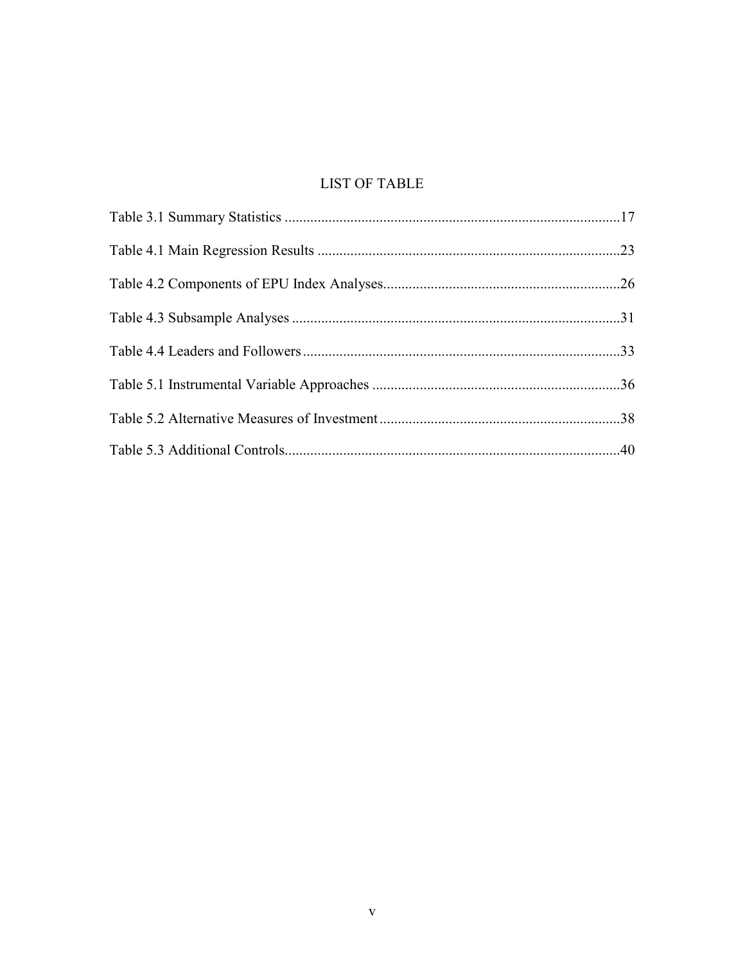# **LIST OF TABLE**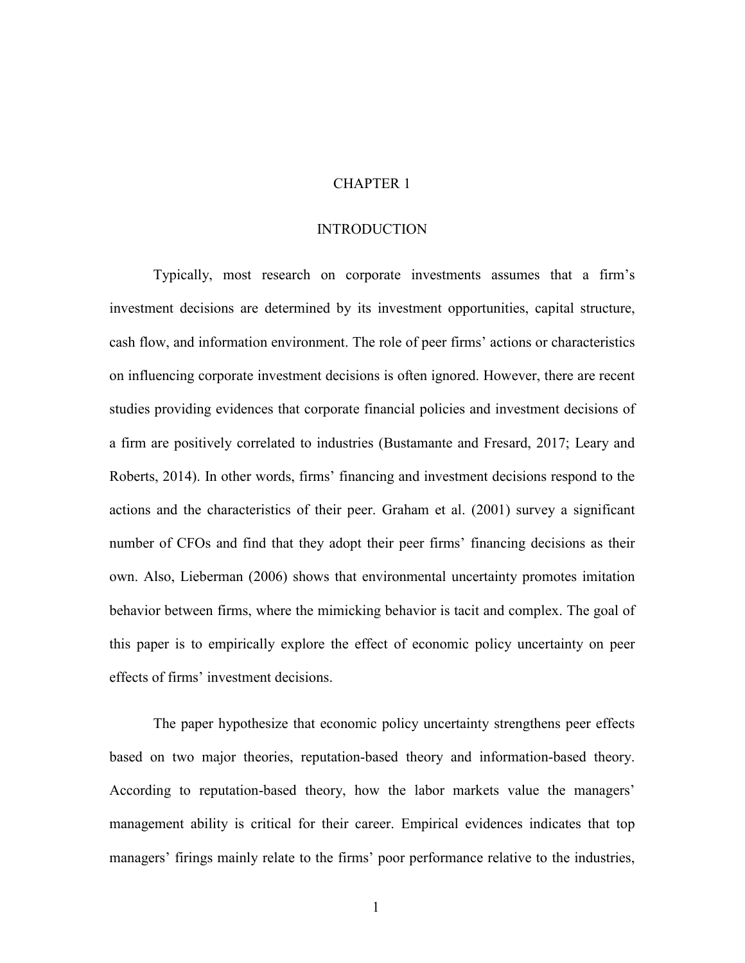#### CHAPTER 1

#### INTRODUCTION

Typically, most research on corporate investments assumes that a firm's investment decisions are determined by its investment opportunities, capital structure, cash flow, and information environment. The role of peer firms' actions or characteristics on influencing corporate investment decisions is often ignored. However, there are recent studies providing evidences that corporate financial policies and investment decisions of a firm are positively correlated to industries (Bustamante and Fresard, 2017; Leary and Roberts, 2014). In other words, firms' financing and investment decisions respond to the actions and the characteristics of their peer. Graham et al. (2001) survey a significant number of CFOs and find that they adopt their peer firms' financing decisions as their own. Also, Lieberman (2006) shows that environmental uncertainty promotes imitation behavior between firms, where the mimicking behavior is tacit and complex. The goal of this paper is to empirically explore the effect of economic policy uncertainty on peer effects of firms' investment decisions.

The paper hypothesize that economic policy uncertainty strengthens peer effects based on two major theories, reputation-based theory and information-based theory. According to reputation-based theory, how the labor markets value the managers' management ability is critical for their career. Empirical evidences indicates that top managers' firings mainly relate to the firms' poor performance relative to the industries,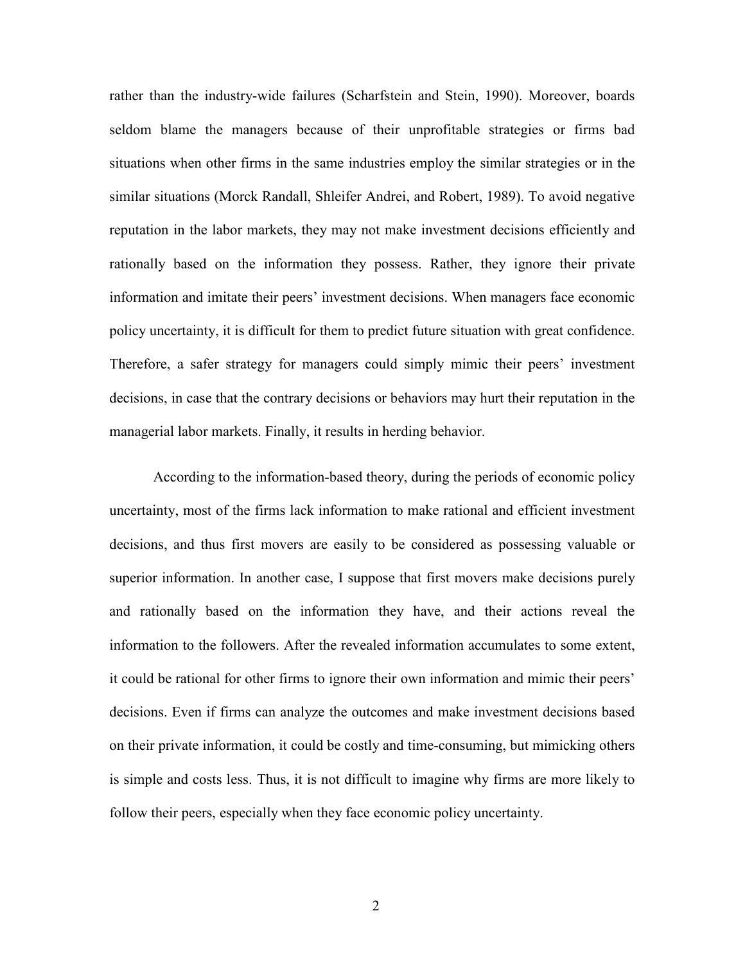rather than the industry-wide failures (Scharfstein and Stein, 1990). Moreover, boards seldom blame the managers because of their unprofitable strategies or firms bad situations when other firms in the same industries employ the similar strategies or in the similar situations (Morck Randall, Shleifer Andrei, and Robert, 1989). To avoid negative reputation in the labor markets, they may not make investment decisions efficiently and rationally based on the information they possess. Rather, they ignore their private information and imitate their peers' investment decisions. When managers face economic policy uncertainty, it is difficult for them to predict future situation with great confidence. Therefore, a safer strategy for managers could simply mimic their peers' investment decisions, in case that the contrary decisions or behaviors may hurt their reputation in the managerial labor markets. Finally, it results in herding behavior.

According to the information-based theory, during the periods of economic policy uncertainty, most of the firms lack information to make rational and efficient investment decisions, and thus first movers are easily to be considered as possessing valuable or superior information. In another case, I suppose that first movers make decisions purely and rationally based on the information they have, and their actions reveal the information to the followers. After the revealed information accumulates to some extent, it could be rational for other firms to ignore their own information and mimic their peers' decisions. Even if firms can analyze the outcomes and make investment decisions based on their private information, it could be costly and time-consuming, but mimicking others is simple and costs less. Thus, it is not difficult to imagine why firms are more likely to follow their peers, especially when they face economic policy uncertainty.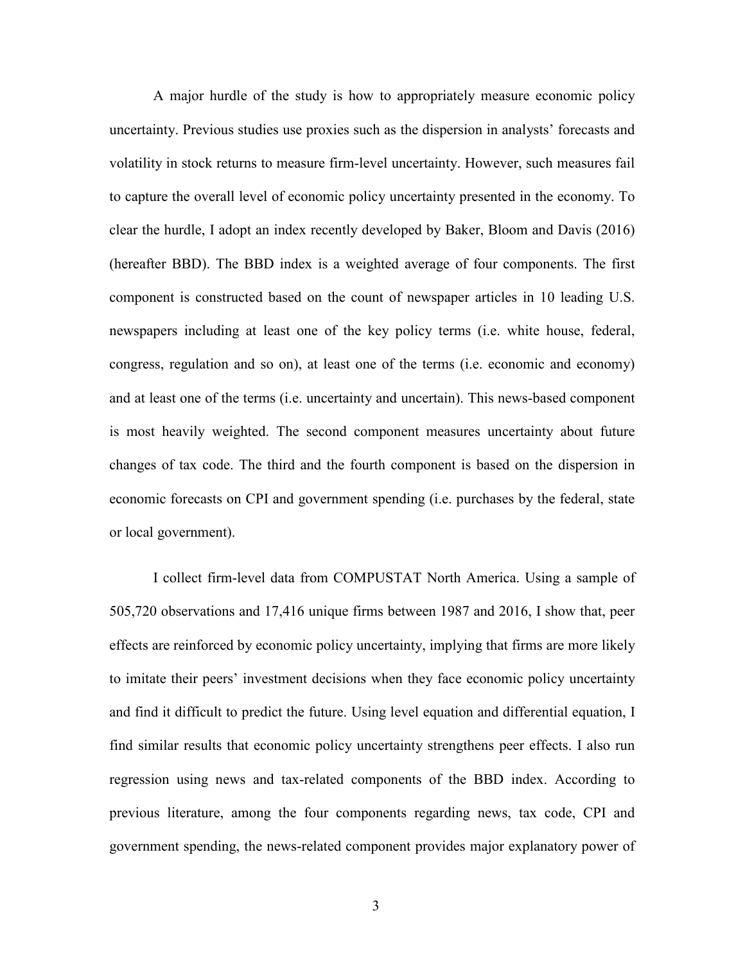A major hurdle of the study is how to appropriately measure economic policy uncertainty. Previous studies use proxies such as the dispersion in analysts' forecasts and volatility in stock returns to measure firm-level uncertainty. However, such measures fail to capture the overall level of economic policy uncertainty presented in the economy. To clear the hurdle, I adopt an index recently developed by Baker, Bloom and Davis (2016) (hereafter BBD). The BBD index is a weighted average of four components. The first component is constructed based on the count of newspaper articles in 10 leading U.S. newspapers including at least one of the key policy terms (i.e. white house, federal, congress, regulation and so on), at least one of the terms (i.e. economic and economy) and at least one of the terms (i.e. uncertainty and uncertain). This news-based component is most heavily weighted. The second component measures uncertainty about future changes of tax code. The third and the fourth component is based on the dispersion in economic forecasts on CPI and government spending (i.e. purchases by the federal, state or local government).

I collect firm-level data from COMPUSTAT North America. Using a sample of 505,720 observations and 17,416 unique firms between 1987 and 2016, I show that, peer effects are reinforced by economic policy uncertainty, implying that firms are more likely to imitate their peers' investment decisions when they face economic policy uncertainty and find it difficult to predict the future. Using level equation and differential equation, I find similar results that economic policy uncertainty strengthens peer effects. I also run regression using news and tax-related components of the BBD index. According to previous literature, among the four components regarding news, tax code, CPI and government spending, the news-related component provides major explanatory power of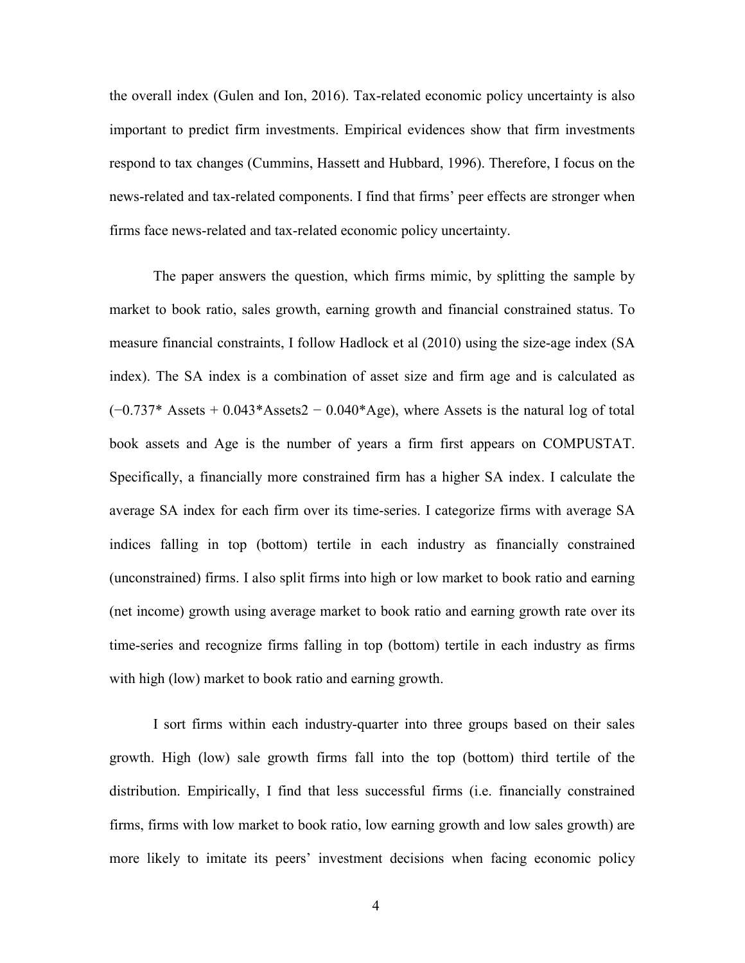the overall index (Gulen and Ion, 2016). Tax-related economic policy uncertainty is also important to predict firm investments. Empirical evidences show that firm investments respond to tax changes (Cummins, Hassett and Hubbard, 1996). Therefore, I focus on the news-related and tax-related components. I find that firms' peer effects are stronger when firms face news-related and tax-related economic policy uncertainty.

The paper answers the question, which firms mimic, by splitting the sample by market to book ratio, sales growth, earning growth and financial constrained status. To measure financial constraints, I follow Hadlock et al (2010) using the size-age index (SA index). The SA index is a combination of asset size and firm age and is calculated as  $(-0.737*$  Assets + 0.043\*Assets2 – 0.040\*Age), where Assets is the natural log of total book assets and Age is the number of years a firm first appears on COMPUSTAT. Specifically, a financially more constrained firm has a higher SA index. I calculate the average SA index for each firm over its time-series. I categorize firms with average SA indices falling in top (bottom) tertile in each industry as financially constrained (unconstrained) firms. I also split firms into high or low market to book ratio and earning (net income) growth using average market to book ratio and earning growth rate over its time-series and recognize firms falling in top (bottom) tertile in each industry as firms with high (low) market to book ratio and earning growth.

I sort firms within each industry-quarter into three groups based on their sales growth. High (low) sale growth firms fall into the top (bottom) third tertile of the distribution. Empirically, I find that less successful firms (i.e. financially constrained firms, firms with low market to book ratio, low earning growth and low sales growth) are more likely to imitate its peers' investment decisions when facing economic policy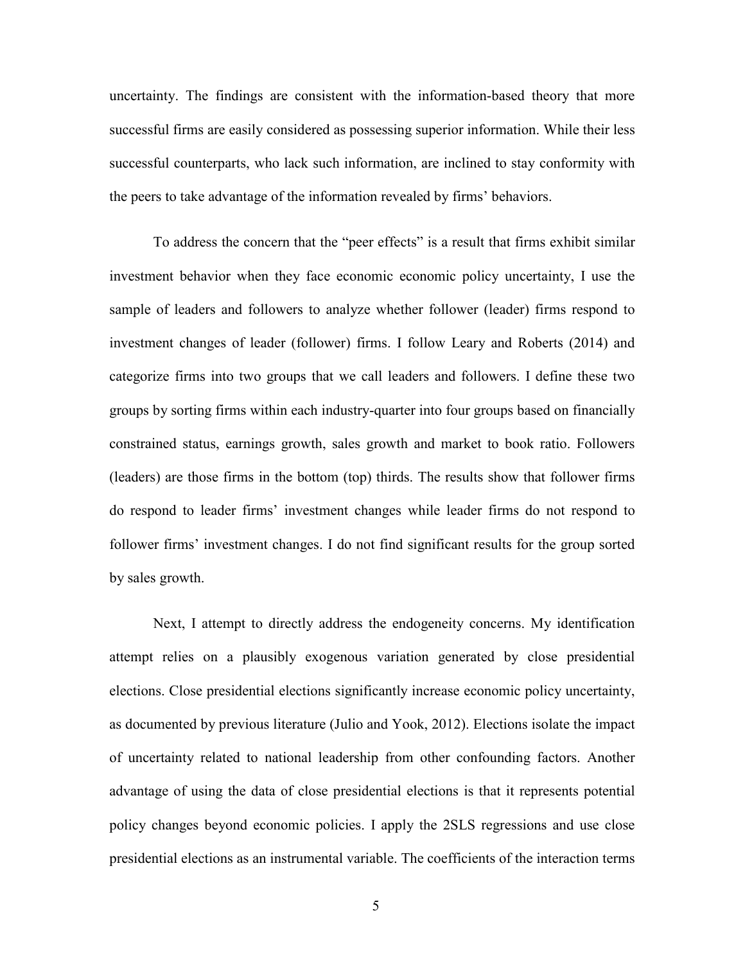uncertainty. The findings are consistent with the information-based theory that more successful firms are easily considered as possessing superior information. While their less successful counterparts, who lack such information, are inclined to stay conformity with the peers to take advantage of the information revealed by firms' behaviors.

To address the concern that the "peer effects" is a result that firms exhibit similar investment behavior when they face economic economic policy uncertainty, I use the sample of leaders and followers to analyze whether follower (leader) firms respond to investment changes of leader (follower) firms. I follow Leary and Roberts (2014) and categorize firms into two groups that we call leaders and followers. I define these two groups by sorting firms within each industry-quarter into four groups based on financially constrained status, earnings growth, sales growth and market to book ratio. Followers (leaders) are those firms in the bottom (top) thirds. The results show that follower firms do respond to leader firms' investment changes while leader firms do not respond to follower firms' investment changes. I do not find significant results for the group sorted by sales growth.

Next, I attempt to directly address the endogeneity concerns. My identification attempt relies on a plausibly exogenous variation generated by close presidential elections. Close presidential elections significantly increase economic policy uncertainty, as documented by previous literature (Julio and Yook, 2012). Elections isolate the impact of uncertainty related to national leadership from other confounding factors. Another advantage of using the data of close presidential elections is that it represents potential policy changes beyond economic policies. I apply the 2SLS regressions and use close presidential elections as an instrumental variable. The coefficients of the interaction terms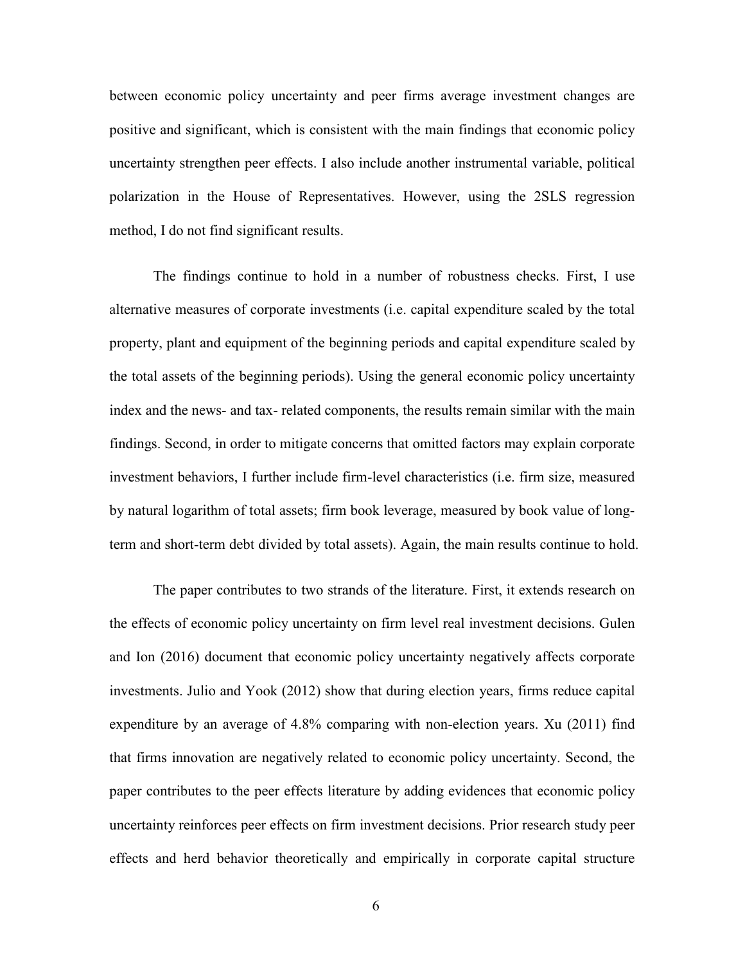between economic policy uncertainty and peer firms average investment changes are positive and significant, which is consistent with the main findings that economic policy uncertainty strengthen peer effects. I also include another instrumental variable, political polarization in the House of Representatives. However, using the 2SLS regression method, I do not find significant results.

The findings continue to hold in a number of robustness checks. First, I use alternative measures of corporate investments (i.e. capital expenditure scaled by the total property, plant and equipment of the beginning periods and capital expenditure scaled by the total assets of the beginning periods). Using the general economic policy uncertainty index and the news- and tax- related components, the results remain similar with the main findings. Second, in order to mitigate concerns that omitted factors may explain corporate investment behaviors, I further include firm-level characteristics (i.e. firm size, measured by natural logarithm of total assets; firm book leverage, measured by book value of longterm and short-term debt divided by total assets). Again, the main results continue to hold.

The paper contributes to two strands of the literature. First, it extends research on the effects of economic policy uncertainty on firm level real investment decisions. Gulen and Ion (2016) document that economic policy uncertainty negatively affects corporate investments. Julio and Yook (2012) show that during election years, firms reduce capital expenditure by an average of 4.8% comparing with non-election years. Xu (2011) find that firms innovation are negatively related to economic policy uncertainty. Second, the paper contributes to the peer effects literature by adding evidences that economic policy uncertainty reinforces peer effects on firm investment decisions. Prior research study peer effects and herd behavior theoretically and empirically in corporate capital structure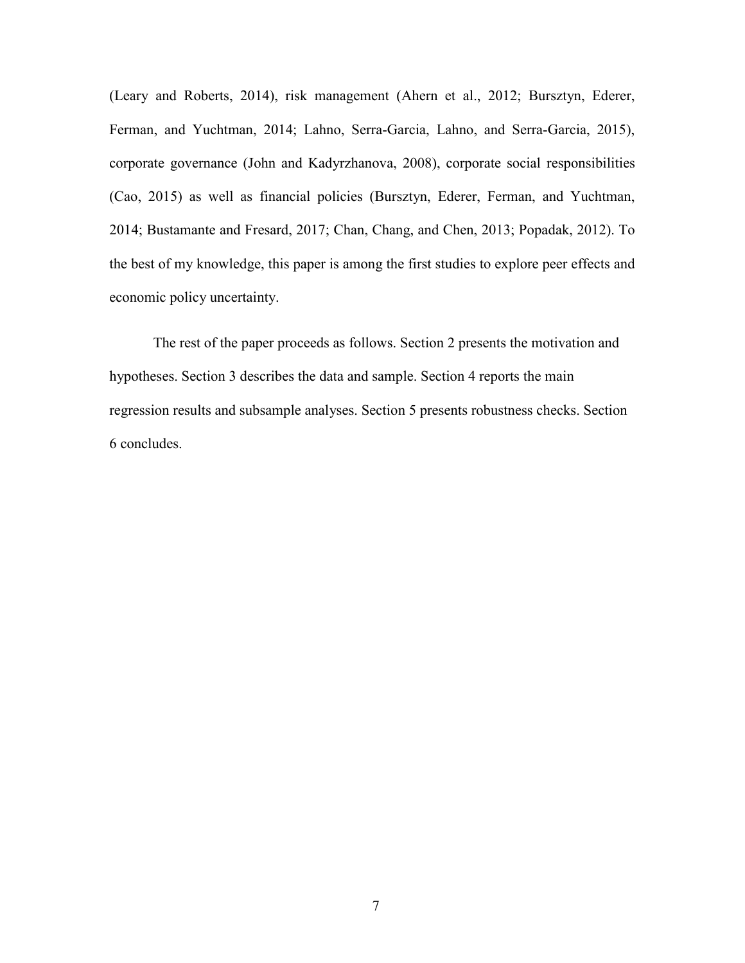(Leary and Roberts, 2014), risk management (Ahern et al., 2012; Bursztyn, Ederer, Ferman, and Yuchtman, 2014; Lahno, Serra-Garcia, Lahno, and Serra-Garcia, 2015), corporate governance (John and Kadyrzhanova, 2008), corporate social responsibilities (Cao, 2015) as well as financial policies (Bursztyn, Ederer, Ferman, and Yuchtman, 2014; Bustamante and Fresard, 2017; Chan, Chang, and Chen, 2013; Popadak, 2012). To the best of my knowledge, this paper is among the first studies to explore peer effects and economic policy uncertainty.

The rest of the paper proceeds as follows. Section 2 presents the motivation and hypotheses. Section 3 describes the data and sample. Section 4 reports the main regression results and subsample analyses. Section 5 presents robustness checks. Section 6 concludes.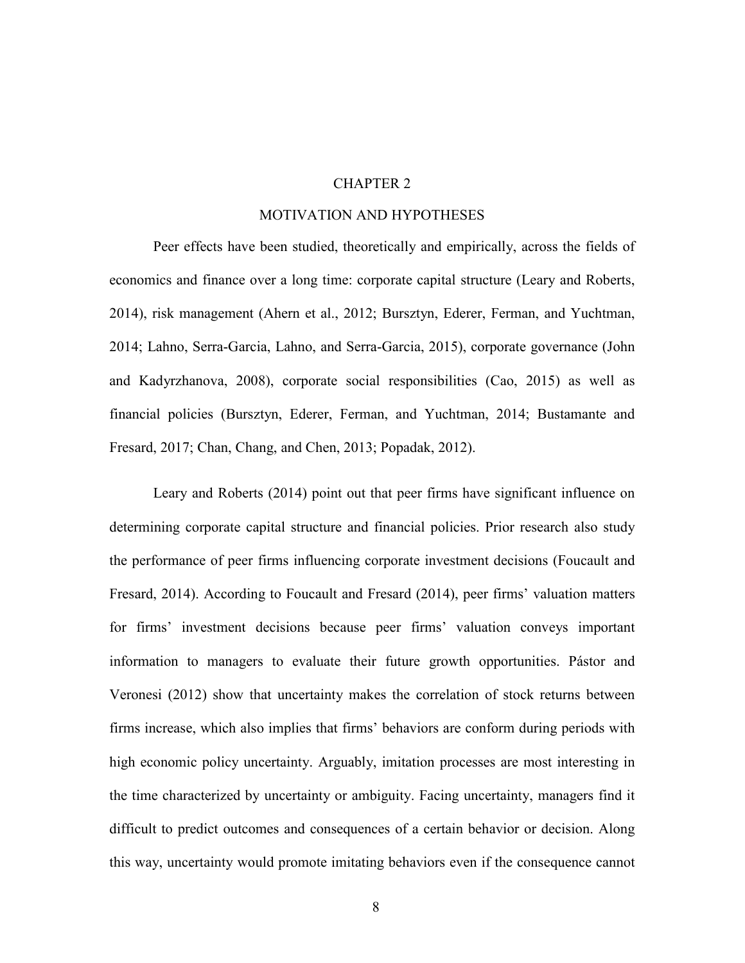#### CHAPTER 2

#### MOTIVATION AND HYPOTHESES

Peer effects have been studied, theoretically and empirically, across the fields of economics and finance over a long time: corporate capital structure (Leary and Roberts, 2014), risk management (Ahern et al., 2012; Bursztyn, Ederer, Ferman, and Yuchtman, 2014; Lahno, Serra-Garcia, Lahno, and Serra-Garcia, 2015), corporate governance (John and Kadyrzhanova, 2008), corporate social responsibilities (Cao, 2015) as well as financial policies (Bursztyn, Ederer, Ferman, and Yuchtman, 2014; Bustamante and Fresard, 2017; Chan, Chang, and Chen, 2013; Popadak, 2012).

Leary and Roberts (2014) point out that peer firms have significant influence on determining corporate capital structure and financial policies. Prior research also study the performance of peer firms influencing corporate investment decisions (Foucault and Fresard, 2014). According to Foucault and Fresard (2014), peer firms' valuation matters for firms' investment decisions because peer firms' valuation conveys important information to managers to evaluate their future growth opportunities. Pástor and Veronesi (2012) show that uncertainty makes the correlation of stock returns between firms increase, which also implies that firms' behaviors are conform during periods with high economic policy uncertainty. Arguably, imitation processes are most interesting in the time characterized by uncertainty or ambiguity. Facing uncertainty, managers find it difficult to predict outcomes and consequences of a certain behavior or decision. Along this way, uncertainty would promote imitating behaviors even if the consequence cannot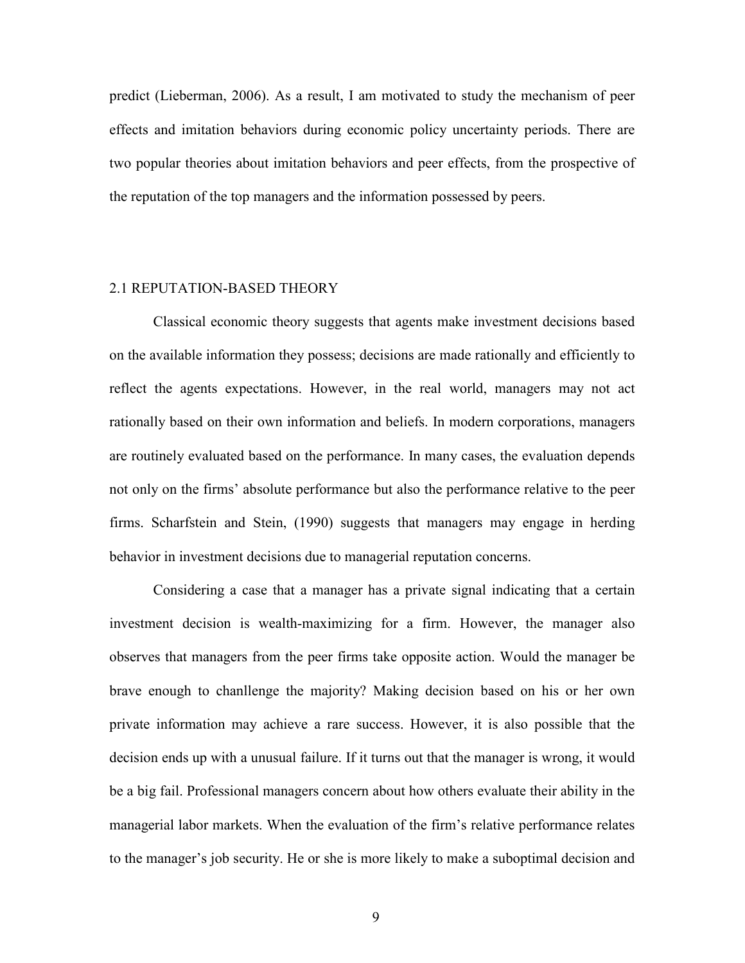predict (Lieberman, 2006). As a result, I am motivated to study the mechanism of peer effects and imitation behaviors during economic policy uncertainty periods. There are two popular theories about imitation behaviors and peer effects, from the prospective of the reputation of the top managers and the information possessed by peers.

#### 2.1 REPUTATION-BASED THEORY

Classical economic theory suggests that agents make investment decisions based on the available information they possess; decisions are made rationally and efficiently to reflect the agents expectations. However, in the real world, managers may not act rationally based on their own information and beliefs. In modern corporations, managers are routinely evaluated based on the performance. In many cases, the evaluation depends not only on the firms' absolute performance but also the performance relative to the peer firms. Scharfstein and Stein, (1990) suggests that managers may engage in herding behavior in investment decisions due to managerial reputation concerns.

Considering a case that a manager has a private signal indicating that a certain investment decision is wealth-maximizing for a firm. However, the manager also observes that managers from the peer firms take opposite action. Would the manager be brave enough to chanllenge the majority? Making decision based on his or her own private information may achieve a rare success. However, it is also possible that the decision ends up with a unusual failure. If it turns out that the manager is wrong, it would be a big fail. Professional managers concern about how others evaluate their ability in the managerial labor markets. When the evaluation of the firm's relative performance relates to the manager's job security. He or she is more likely to make a suboptimal decision and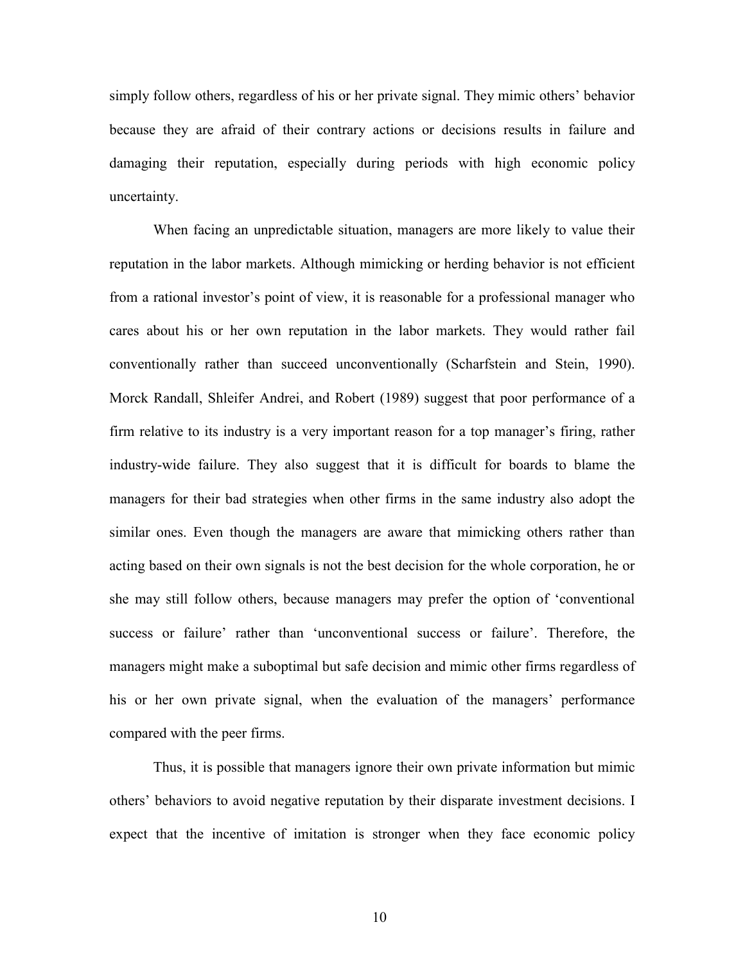simply follow others, regardless of his or her private signal. They mimic others' behavior because they are afraid of their contrary actions or decisions results in failure and damaging their reputation, especially during periods with high economic policy uncertainty.

When facing an unpredictable situation, managers are more likely to value their reputation in the labor markets. Although mimicking or herding behavior is not efficient from a rational investor's point of view, it is reasonable for a professional manager who cares about his or her own reputation in the labor markets. They would rather fail conventionally rather than succeed unconventionally (Scharfstein and Stein, 1990). Morck Randall, Shleifer Andrei, and Robert (1989) suggest that poor performance of a firm relative to its industry is a very important reason for a top manager's firing, rather industry-wide failure. They also suggest that it is difficult for boards to blame the managers for their bad strategies when other firms in the same industry also adopt the similar ones. Even though the managers are aware that mimicking others rather than acting based on their own signals is not the best decision for the whole corporation, he or she may still follow others, because managers may prefer the option of 'conventional success or failure' rather than 'unconventional success or failure'. Therefore, the managers might make a suboptimal but safe decision and mimic other firms regardless of his or her own private signal, when the evaluation of the managers' performance compared with the peer firms.

Thus, it is possible that managers ignore their own private information but mimic others' behaviors to avoid negative reputation by their disparate investment decisions. I expect that the incentive of imitation is stronger when they face economic policy

10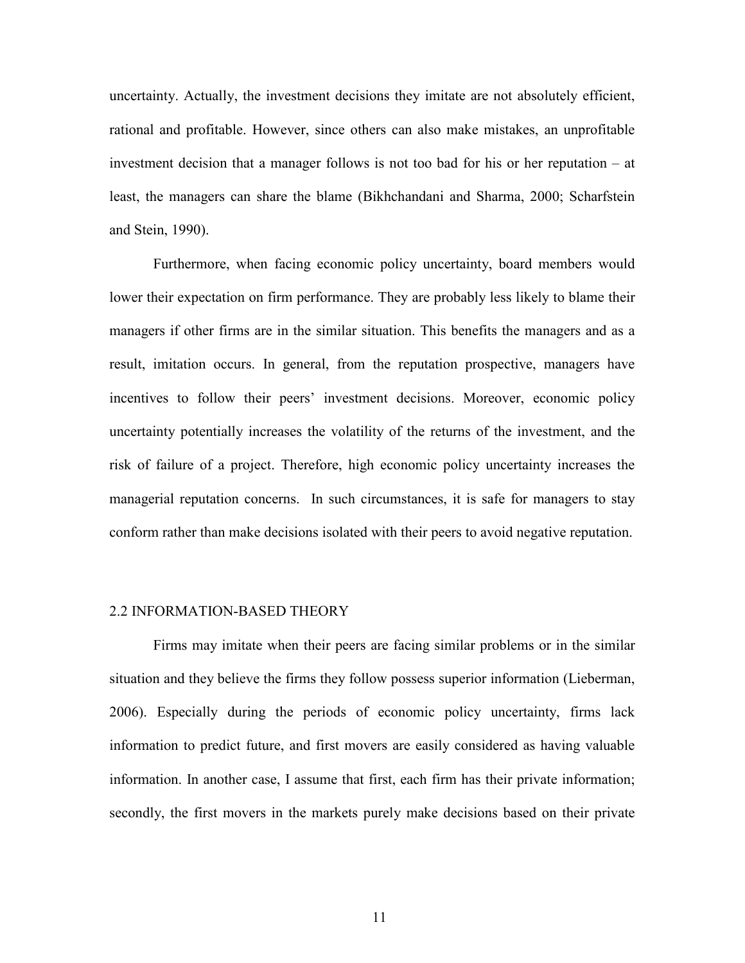uncertainty. Actually, the investment decisions they imitate are not absolutely efficient, rational and profitable. However, since others can also make mistakes, an unprofitable investment decision that a manager follows is not too bad for his or her reputation – at least, the managers can share the blame (Bikhchandani and Sharma, 2000; Scharfstein and Stein, 1990).

Furthermore, when facing economic policy uncertainty, board members would lower their expectation on firm performance. They are probably less likely to blame their managers if other firms are in the similar situation. This benefits the managers and as a result, imitation occurs. In general, from the reputation prospective, managers have incentives to follow their peers' investment decisions. Moreover, economic policy uncertainty potentially increases the volatility of the returns of the investment, and the risk of failure of a project. Therefore, high economic policy uncertainty increases the managerial reputation concerns. In such circumstances, it is safe for managers to stay conform rather than make decisions isolated with their peers to avoid negative reputation.

#### 2.2 INFORMATION-BASED THEORY

Firms may imitate when their peers are facing similar problems or in the similar situation and they believe the firms they follow possess superior information (Lieberman, 2006). Especially during the periods of economic policy uncertainty, firms lack information to predict future, and first movers are easily considered as having valuable information. In another case, I assume that first, each firm has their private information; secondly, the first movers in the markets purely make decisions based on their private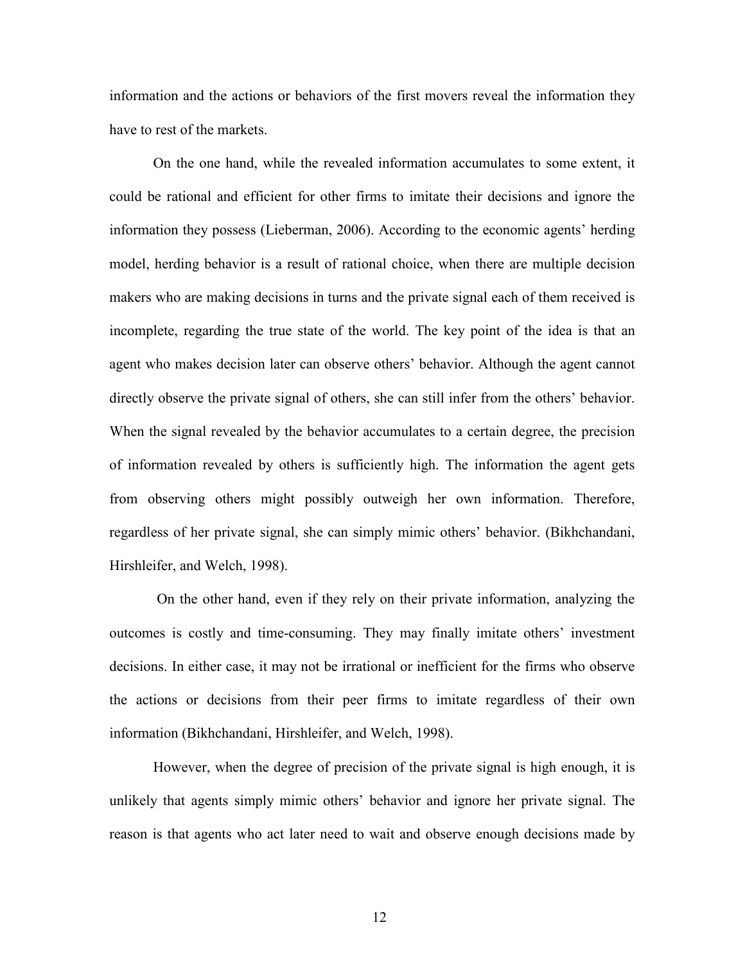information and the actions or behaviors of the first movers reveal the information they have to rest of the markets.

On the one hand, while the revealed information accumulates to some extent, it could be rational and efficient for other firms to imitate their decisions and ignore the information they possess (Lieberman, 2006). According to the economic agents' herding model, herding behavior is a result of rational choice, when there are multiple decision makers who are making decisions in turns and the private signal each of them received is incomplete, regarding the true state of the world. The key point of the idea is that an agent who makes decision later can observe others' behavior. Although the agent cannot directly observe the private signal of others, she can still infer from the others' behavior. When the signal revealed by the behavior accumulates to a certain degree, the precision of information revealed by others is sufficiently high. The information the agent gets from observing others might possibly outweigh her own information. Therefore, regardless of her private signal, she can simply mimic others' behavior. (Bikhchandani, Hirshleifer, and Welch, 1998).

 On the other hand, even if they rely on their private information, analyzing the outcomes is costly and time-consuming. They may finally imitate others' investment decisions. In either case, it may not be irrational or inefficient for the firms who observe the actions or decisions from their peer firms to imitate regardless of their own information (Bikhchandani, Hirshleifer, and Welch, 1998).

However, when the degree of precision of the private signal is high enough, it is unlikely that agents simply mimic others' behavior and ignore her private signal. The reason is that agents who act later need to wait and observe enough decisions made by

12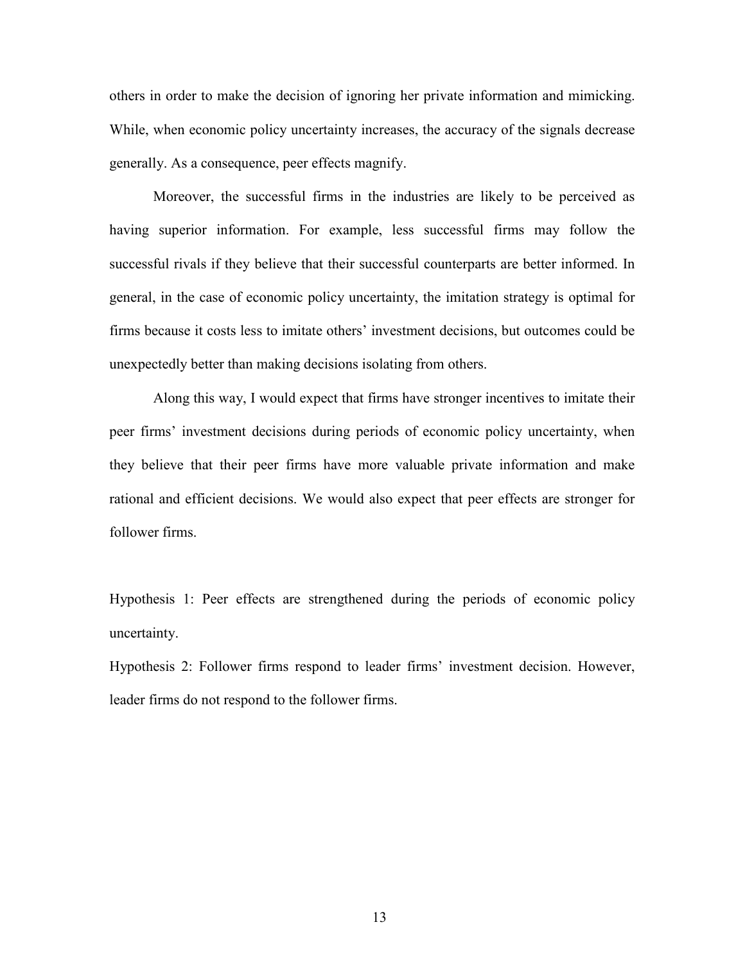others in order to make the decision of ignoring her private information and mimicking. While, when economic policy uncertainty increases, the accuracy of the signals decrease generally. As a consequence, peer effects magnify.

Moreover, the successful firms in the industries are likely to be perceived as having superior information. For example, less successful firms may follow the successful rivals if they believe that their successful counterparts are better informed. In general, in the case of economic policy uncertainty, the imitation strategy is optimal for firms because it costs less to imitate others' investment decisions, but outcomes could be unexpectedly better than making decisions isolating from others.

Along this way, I would expect that firms have stronger incentives to imitate their peer firms' investment decisions during periods of economic policy uncertainty, when they believe that their peer firms have more valuable private information and make rational and efficient decisions. We would also expect that peer effects are stronger for follower firms.

Hypothesis 1: Peer effects are strengthened during the periods of economic policy uncertainty.

Hypothesis 2: Follower firms respond to leader firms' investment decision. However, leader firms do not respond to the follower firms.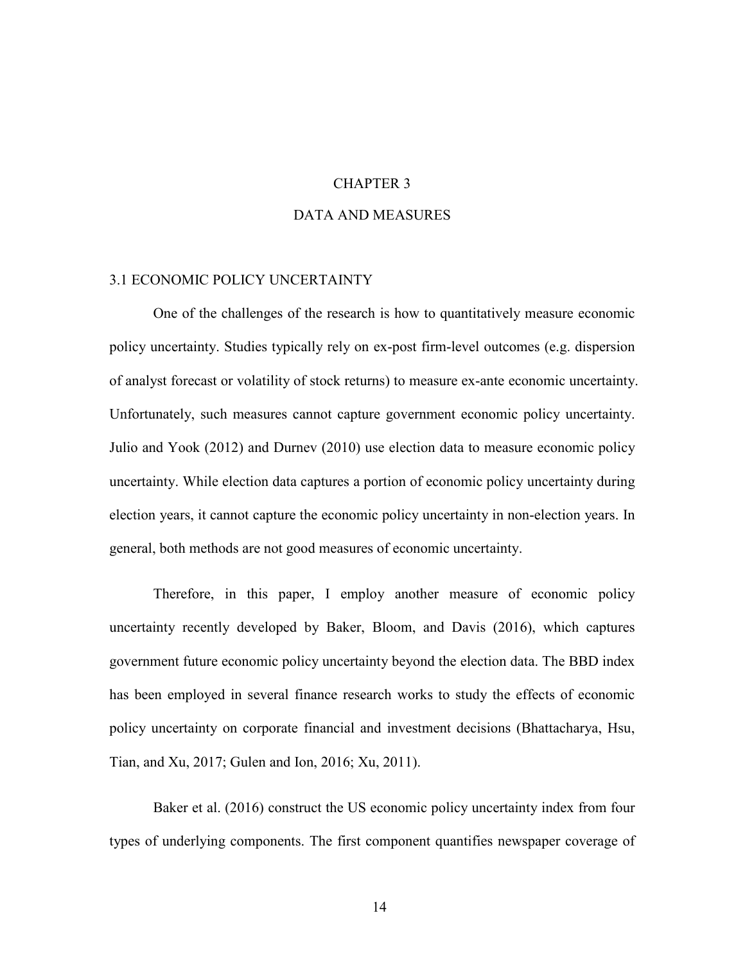#### CHAPTER 3

#### DATA AND MEASURES

#### 3.1 ECONOMIC POLICY UNCERTAINTY

One of the challenges of the research is how to quantitatively measure economic policy uncertainty. Studies typically rely on ex-post firm-level outcomes (e.g. dispersion of analyst forecast or volatility of stock returns) to measure ex-ante economic uncertainty. Unfortunately, such measures cannot capture government economic policy uncertainty. Julio and Yook (2012) and Durnev (2010) use election data to measure economic policy uncertainty. While election data captures a portion of economic policy uncertainty during election years, it cannot capture the economic policy uncertainty in non-election years. In general, both methods are not good measures of economic uncertainty.

Therefore, in this paper, I employ another measure of economic policy uncertainty recently developed by Baker, Bloom, and Davis (2016), which captures government future economic policy uncertainty beyond the election data. The BBD index has been employed in several finance research works to study the effects of economic policy uncertainty on corporate financial and investment decisions (Bhattacharya, Hsu, Tian, and Xu, 2017; Gulen and Ion, 2016; Xu, 2011).

Baker et al. (2016) construct the US economic policy uncertainty index from four types of underlying components. The first component quantifies newspaper coverage of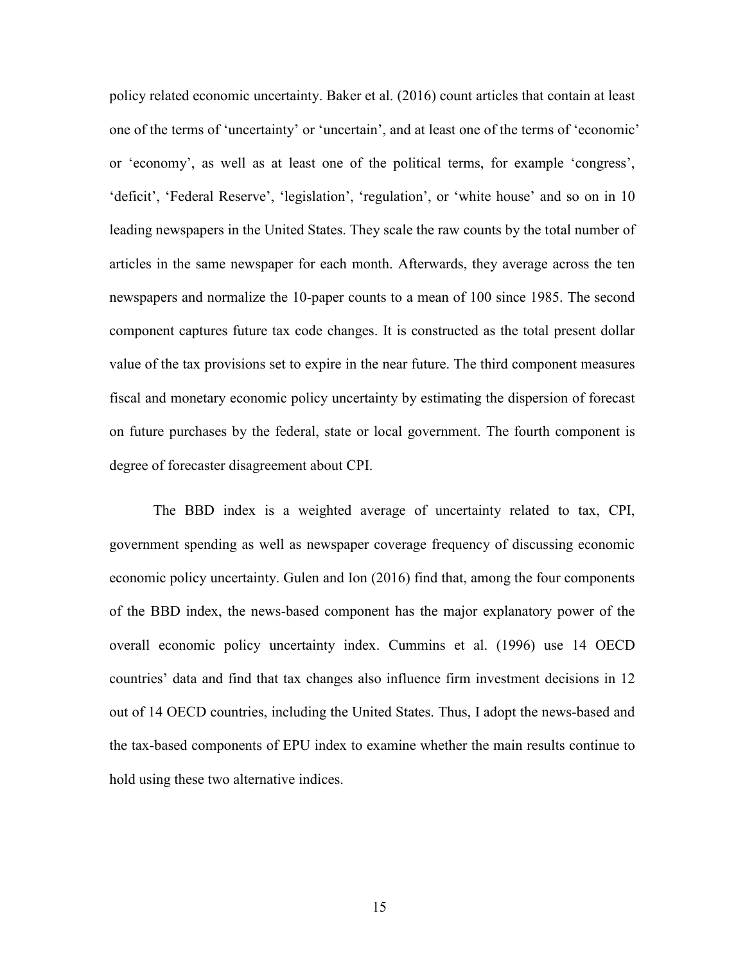policy related economic uncertainty. Baker et al. (2016) count articles that contain at least one of the terms of 'uncertainty' or 'uncertain', and at least one of the terms of 'economic' or 'economy', as well as at least one of the political terms, for example 'congress', 'deficit', 'Federal Reserve', 'legislation', 'regulation', or 'white house' and so on in 10 leading newspapers in the United States. They scale the raw counts by the total number of articles in the same newspaper for each month. Afterwards, they average across the ten newspapers and normalize the 10-paper counts to a mean of 100 since 1985. The second component captures future tax code changes. It is constructed as the total present dollar value of the tax provisions set to expire in the near future. The third component measures fiscal and monetary economic policy uncertainty by estimating the dispersion of forecast on future purchases by the federal, state or local government. The fourth component is degree of forecaster disagreement about CPI.

The BBD index is a weighted average of uncertainty related to tax, CPI, government spending as well as newspaper coverage frequency of discussing economic economic policy uncertainty. Gulen and Ion (2016) find that, among the four components of the BBD index, the news-based component has the major explanatory power of the overall economic policy uncertainty index. Cummins et al. (1996) use 14 OECD countries' data and find that tax changes also influence firm investment decisions in 12 out of 14 OECD countries, including the United States. Thus, I adopt the news-based and the tax-based components of EPU index to examine whether the main results continue to hold using these two alternative indices.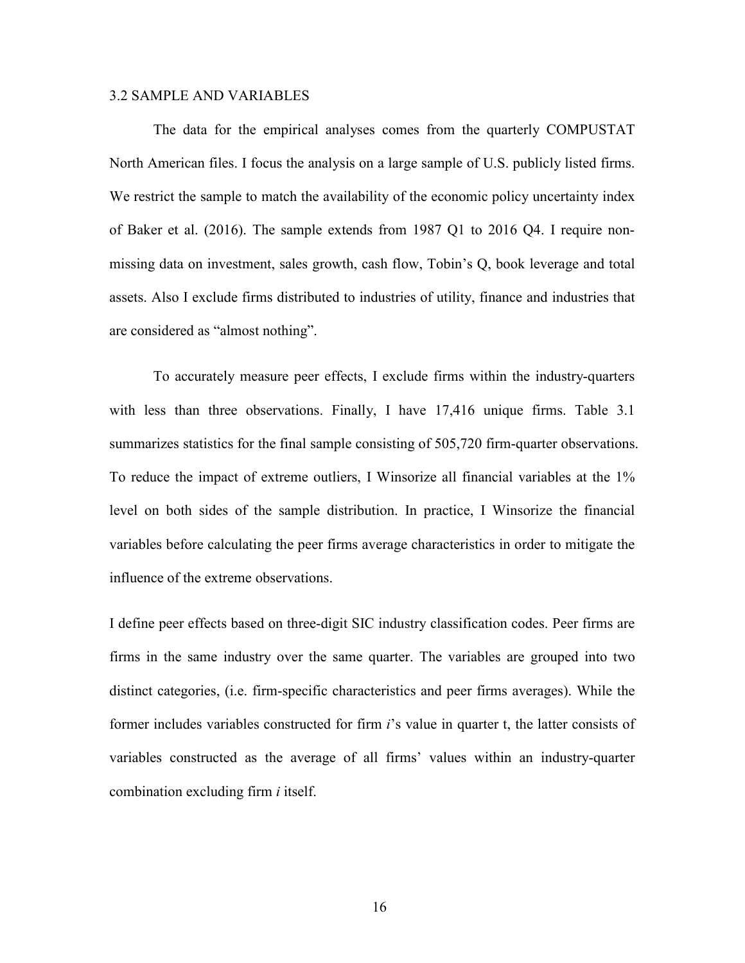#### 3.2 SAMPLE AND VARIABLES

The data for the empirical analyses comes from the quarterly COMPUSTAT North American files. I focus the analysis on a large sample of U.S. publicly listed firms. We restrict the sample to match the availability of the economic policy uncertainty index of Baker et al. (2016). The sample extends from 1987 Q1 to 2016 Q4. I require nonmissing data on investment, sales growth, cash flow, Tobin's Q, book leverage and total assets. Also I exclude firms distributed to industries of utility, finance and industries that are considered as "almost nothing".

To accurately measure peer effects, I exclude firms within the industry-quarters with less than three observations. Finally, I have 17,416 unique firms. Table 3.1 summarizes statistics for the final sample consisting of 505,720 firm-quarter observations. To reduce the impact of extreme outliers, I Winsorize all financial variables at the 1% level on both sides of the sample distribution. In practice, I Winsorize the financial variables before calculating the peer firms average characteristics in order to mitigate the influence of the extreme observations.

I define peer effects based on three-digit SIC industry classification codes. Peer firms are firms in the same industry over the same quarter. The variables are grouped into two distinct categories, (i.e. firm-specific characteristics and peer firms averages). While the former includes variables constructed for firm *i*'s value in quarter t, the latter consists of variables constructed as the average of all firms' values within an industry-quarter combination excluding firm *i* itself.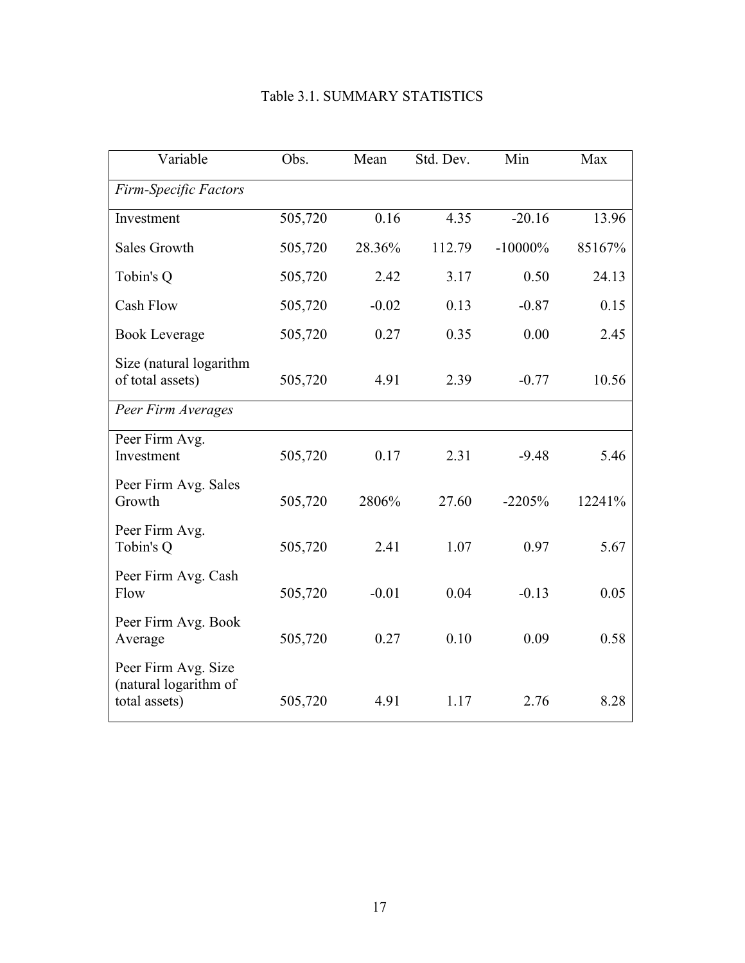| Variable                                                      | Obs.    | Mean    | Std. Dev. | Min        | Max    |
|---------------------------------------------------------------|---------|---------|-----------|------------|--------|
| Firm-Specific Factors                                         |         |         |           |            |        |
| Investment                                                    | 505,720 | 0.16    | 4.35      | $-20.16$   | 13.96  |
| <b>Sales Growth</b>                                           | 505,720 | 28.36%  | 112.79    | $-10000\%$ | 85167% |
| Tobin's Q                                                     | 505,720 | 2.42    | 3.17      | 0.50       | 24.13  |
| Cash Flow                                                     | 505,720 | $-0.02$ | 0.13      | $-0.87$    | 0.15   |
| <b>Book Leverage</b>                                          | 505,720 | 0.27    | 0.35      | 0.00       | 2.45   |
| Size (natural logarithm<br>of total assets)                   | 505,720 | 4.91    | 2.39      | $-0.77$    | 10.56  |
| Peer Firm Averages                                            |         |         |           |            |        |
| Peer Firm Avg.<br>Investment                                  | 505,720 | 0.17    | 2.31      | $-9.48$    | 5.46   |
| Peer Firm Avg. Sales<br>Growth                                | 505,720 | 2806%   | 27.60     | $-2205%$   | 12241% |
| Peer Firm Avg.<br>Tobin's Q                                   | 505,720 | 2.41    | 1.07      | 0.97       | 5.67   |
| Peer Firm Avg. Cash<br>Flow                                   | 505,720 | $-0.01$ | 0.04      | $-0.13$    | 0.05   |
| Peer Firm Avg. Book<br>Average                                | 505,720 | 0.27    | 0.10      | 0.09       | 0.58   |
| Peer Firm Avg. Size<br>(natural logarithm of<br>total assets) | 505,720 | 4.91    | 1.17      | 2.76       | 8.28   |

# Table 3.1. SUMMARY STATISTICS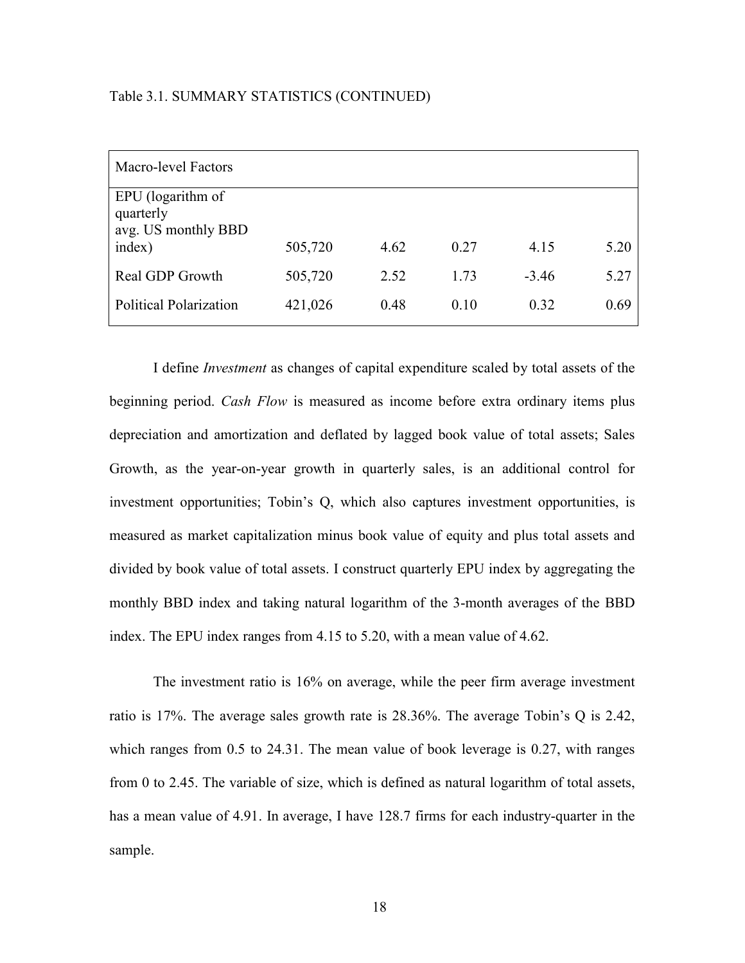#### Table 3.1. SUMMARY STATISTICS (CONTINUED)

| Macro-level Factors                                   |         |      |      |         |      |
|-------------------------------------------------------|---------|------|------|---------|------|
| EPU (logarithm of<br>quarterly<br>avg. US monthly BBD |         |      |      |         |      |
| index)                                                | 505,720 | 4.62 | 0.27 | 4.15    | 5.20 |
| Real GDP Growth                                       | 505,720 | 2.52 | 1.73 | $-3.46$ | 5.27 |
| <b>Political Polarization</b>                         | 421,026 | 0.48 | 0.10 | 0.32    | 0.69 |

I define *Investment* as changes of capital expenditure scaled by total assets of the beginning period. *Cash Flow* is measured as income before extra ordinary items plus depreciation and amortization and deflated by lagged book value of total assets; Sales Growth, as the year-on-year growth in quarterly sales, is an additional control for investment opportunities; Tobin's Q, which also captures investment opportunities, is measured as market capitalization minus book value of equity and plus total assets and divided by book value of total assets. I construct quarterly EPU index by aggregating the monthly BBD index and taking natural logarithm of the 3-month averages of the BBD index. The EPU index ranges from 4.15 to 5.20, with a mean value of 4.62.

The investment ratio is 16% on average, while the peer firm average investment ratio is 17%. The average sales growth rate is 28.36%. The average Tobin's Q is 2.42, which ranges from 0.5 to 24.31. The mean value of book leverage is 0.27, with ranges from 0 to 2.45. The variable of size, which is defined as natural logarithm of total assets, has a mean value of 4.91. In average, I have 128.7 firms for each industry-quarter in the sample.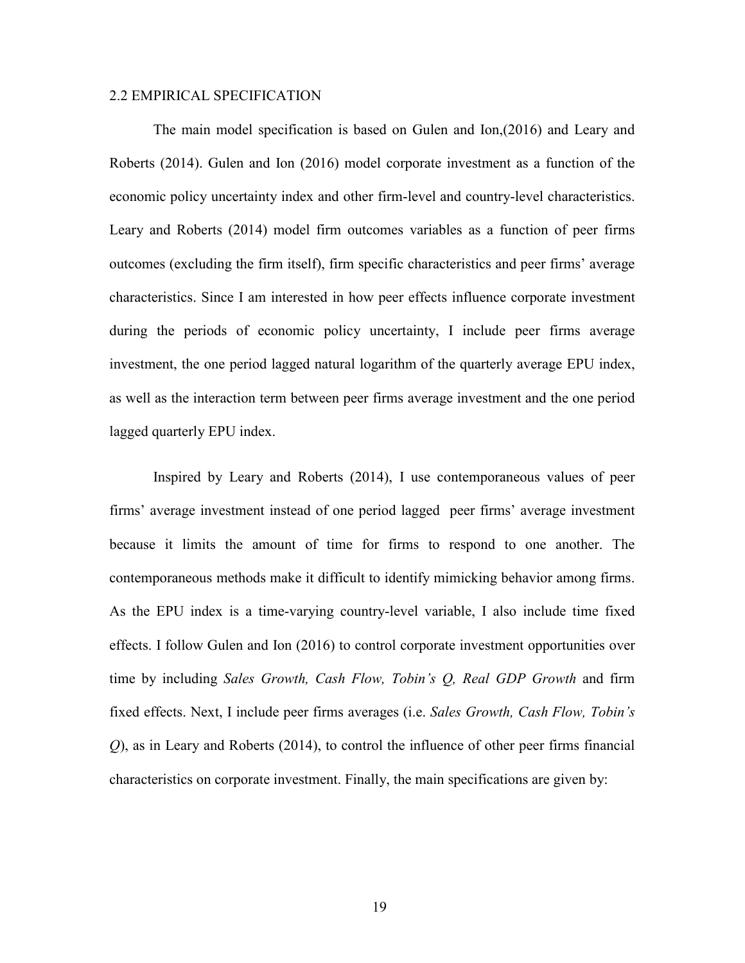#### 2.2 EMPIRICAL SPECIFICATION

The main model specification is based on Gulen and Ion,(2016) and Leary and Roberts (2014). Gulen and Ion (2016) model corporate investment as a function of the economic policy uncertainty index and other firm-level and country-level characteristics. Leary and Roberts (2014) model firm outcomes variables as a function of peer firms outcomes (excluding the firm itself), firm specific characteristics and peer firms' average characteristics. Since I am interested in how peer effects influence corporate investment during the periods of economic policy uncertainty, I include peer firms average investment, the one period lagged natural logarithm of the quarterly average EPU index, as well as the interaction term between peer firms average investment and the one period lagged quarterly EPU index.

Inspired by Leary and Roberts (2014), I use contemporaneous values of peer firms' average investment instead of one period lagged peer firms' average investment because it limits the amount of time for firms to respond to one another. The contemporaneous methods make it difficult to identify mimicking behavior among firms. As the EPU index is a time-varying country-level variable, I also include time fixed effects. I follow Gulen and Ion (2016) to control corporate investment opportunities over time by including *Sales Growth, Cash Flow, Tobin's Q, Real GDP Growth* and firm fixed effects. Next, I include peer firms averages (i.e. *Sales Growth, Cash Flow, Tobin's Q*), as in Leary and Roberts (2014), to control the influence of other peer firms financial characteristics on corporate investment. Finally, the main specifications are given by: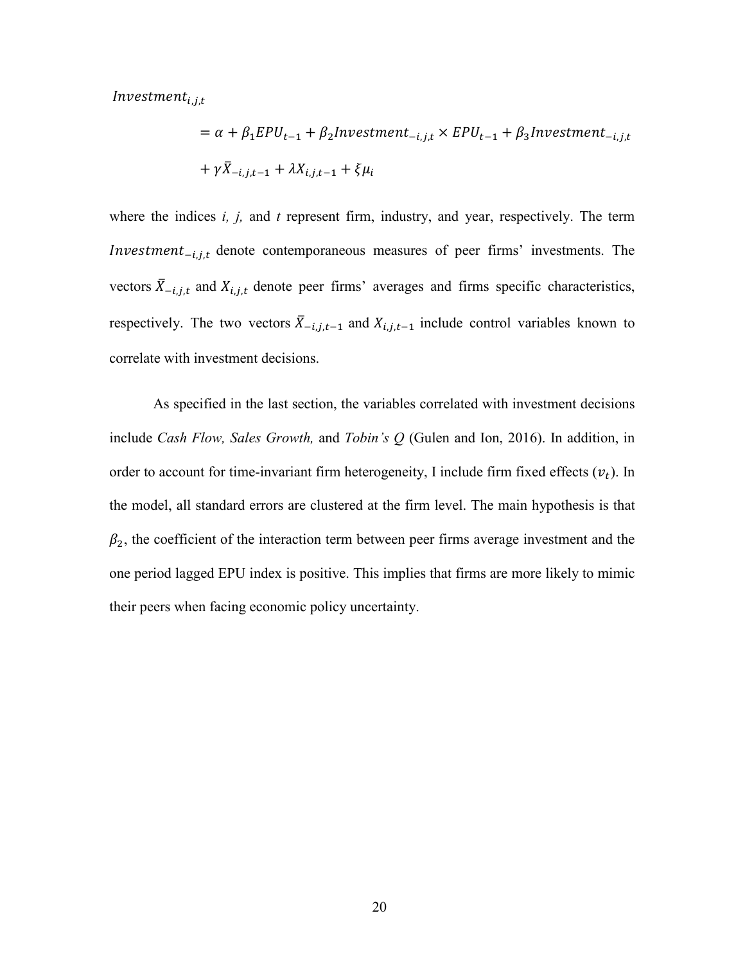$\emph{Investment}_{i,j,t}$ 

$$
= \alpha + \beta_1 EPU_{t-1} + \beta_2 Investment_{-i,j,t} \times EPU_{t-1} + \beta_3 Investment_{-i,j,t}
$$

$$
+ \gamma \bar{X}_{-i,j,t-1} + \lambda X_{i,j,t-1} + \xi \mu_i
$$

where the indices *i, j,* and *t* represent firm, industry, and year, respectively. The term *Investment*<sub> $-i,j,t$ </sub> denote contemporaneous measures of peer firms' investments. The vectors  $\bar{X}_{-i,j,t}$  and  $X_{i,j,t}$  denote peer firms' averages and firms specific characteristics, respectively. The two vectors  $\bar{X}_{-i,j,t-1}$  and  $X_{i,j,t-1}$  include control variables known to correlate with investment decisions.

As specified in the last section, the variables correlated with investment decisions include *Cash Flow, Sales Growth,* and *Tobin's Q* (Gulen and Ion, 2016). In addition, in order to account for time-invariant firm heterogeneity, I include firm fixed effects  $(v_t)$ . In the model, all standard errors are clustered at the firm level. The main hypothesis is that  $\beta_2$ , the coefficient of the interaction term between peer firms average investment and the one period lagged EPU index is positive. This implies that firms are more likely to mimic their peers when facing economic policy uncertainty.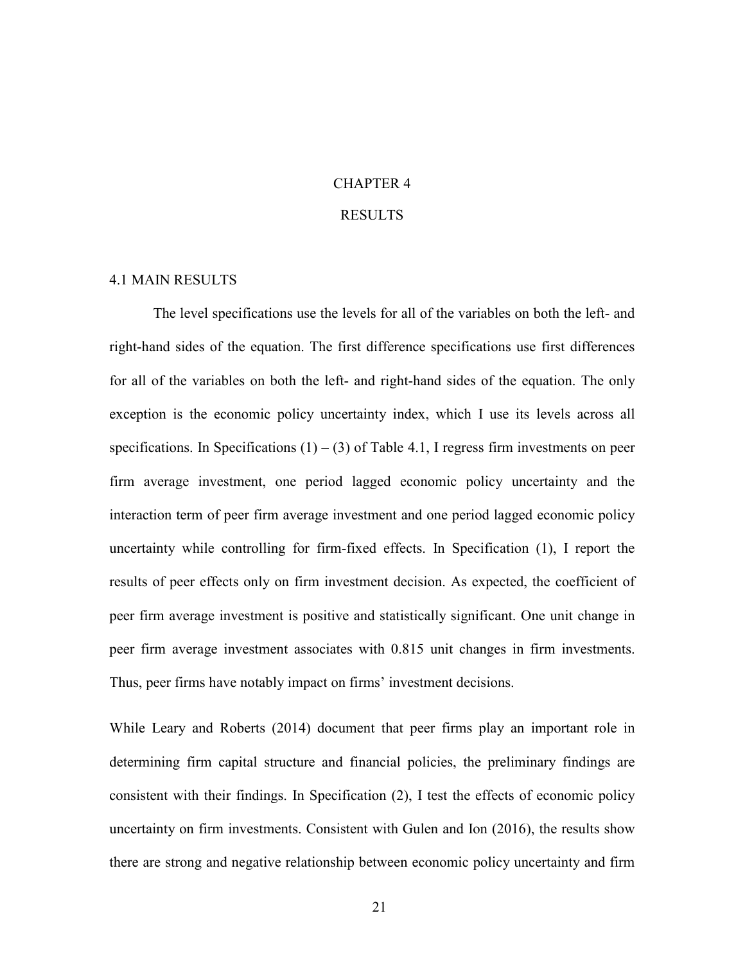# CHAPTER 4 RESULTS

#### 4.1 MAIN RESULTS

The level specifications use the levels for all of the variables on both the left- and right-hand sides of the equation. The first difference specifications use first differences for all of the variables on both the left- and right-hand sides of the equation. The only exception is the economic policy uncertainty index, which I use its levels across all specifications. In Specifications  $(1) - (3)$  of Table 4.1, I regress firm investments on peer firm average investment, one period lagged economic policy uncertainty and the interaction term of peer firm average investment and one period lagged economic policy uncertainty while controlling for firm-fixed effects. In Specification (1), I report the results of peer effects only on firm investment decision. As expected, the coefficient of peer firm average investment is positive and statistically significant. One unit change in peer firm average investment associates with 0.815 unit changes in firm investments. Thus, peer firms have notably impact on firms' investment decisions.

While Leary and Roberts (2014) document that peer firms play an important role in determining firm capital structure and financial policies, the preliminary findings are consistent with their findings. In Specification (2), I test the effects of economic policy uncertainty on firm investments. Consistent with Gulen and Ion (2016), the results show there are strong and negative relationship between economic policy uncertainty and firm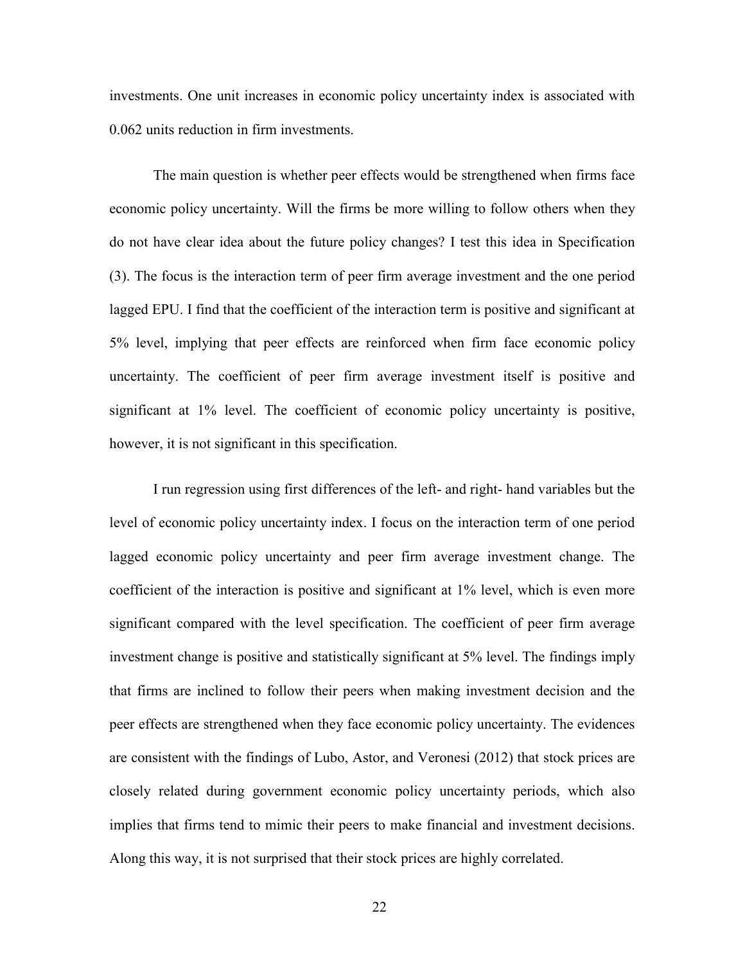investments. One unit increases in economic policy uncertainty index is associated with 0.062 units reduction in firm investments.

The main question is whether peer effects would be strengthened when firms face economic policy uncertainty. Will the firms be more willing to follow others when they do not have clear idea about the future policy changes? I test this idea in Specification (3). The focus is the interaction term of peer firm average investment and the one period lagged EPU. I find that the coefficient of the interaction term is positive and significant at 5% level, implying that peer effects are reinforced when firm face economic policy uncertainty. The coefficient of peer firm average investment itself is positive and significant at 1% level. The coefficient of economic policy uncertainty is positive, however, it is not significant in this specification.

I run regression using first differences of the left- and right- hand variables but the level of economic policy uncertainty index. I focus on the interaction term of one period lagged economic policy uncertainty and peer firm average investment change. The coefficient of the interaction is positive and significant at 1% level, which is even more significant compared with the level specification. The coefficient of peer firm average investment change is positive and statistically significant at 5% level. The findings imply that firms are inclined to follow their peers when making investment decision and the peer effects are strengthened when they face economic policy uncertainty. The evidences are consistent with the findings of Lubo, Astor, and Veronesi (2012) that stock prices are closely related during government economic policy uncertainty periods, which also implies that firms tend to mimic their peers to make financial and investment decisions. Along this way, it is not surprised that their stock prices are highly correlated.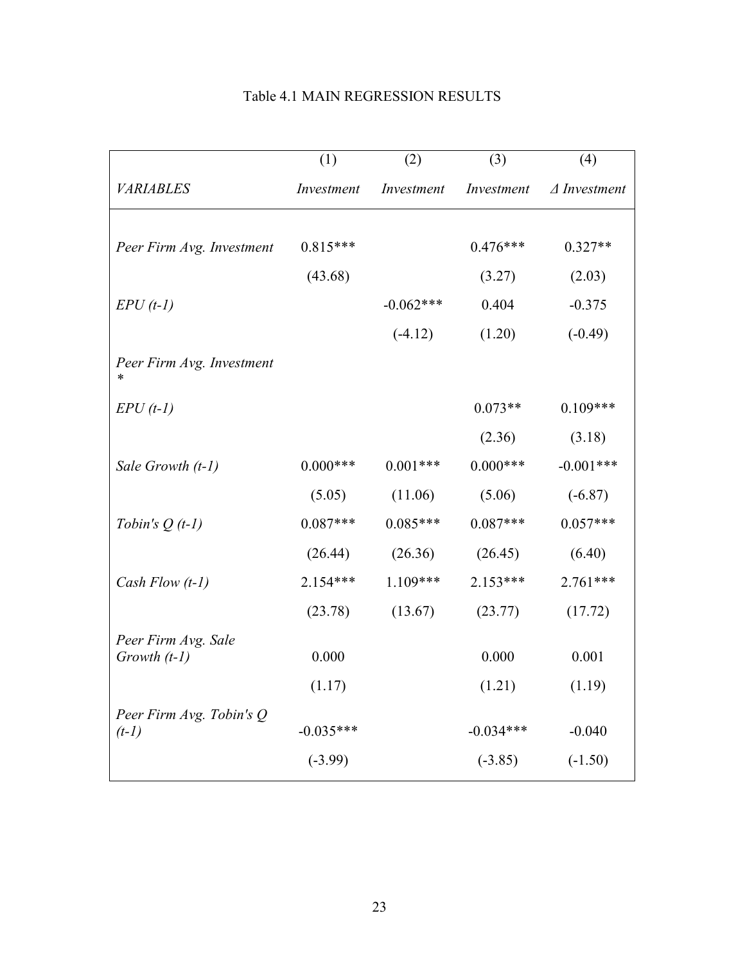|                           | (1)         | (2)         | (3)         | (4)                    |
|---------------------------|-------------|-------------|-------------|------------------------|
| <b>VARIABLES</b>          | Investment  | Investment  | Investment  | $\triangle Investment$ |
|                           |             |             |             |                        |
| Peer Firm Avg. Investment | $0.815***$  |             | $0.476***$  | $0.327**$              |
|                           | (43.68)     |             | (3.27)      | (2.03)                 |
| $EPU(t-1)$                |             | $-0.062***$ | 0.404       | $-0.375$               |
|                           |             | $(-4.12)$   | (1.20)      | $(-0.49)$              |
| Peer Firm Avg. Investment |             |             |             |                        |
| $EPU(t-1)$                |             |             | $0.073**$   | $0.109***$             |
|                           |             |             | (2.36)      | (3.18)                 |
| Sale Growth (t-1)         | $0.000***$  | $0.001***$  | $0.000***$  | $-0.001***$            |
|                           | (5.05)      | (11.06)     | (5.06)      | $(-6.87)$              |
| Tobin's $Q(t-1)$          | $0.087***$  | $0.085***$  | $0.087***$  | $0.057***$             |
|                           | (26.44)     | (26.36)     | (26.45)     | (6.40)                 |
| Cash Flow $(t-1)$         | 2.154***    | $1.109***$  | 2.153***    | $2.761***$             |
|                           | (23.78)     | (13.67)     | (23.77)     | (17.72)                |
| Peer Firm Avg. Sale       |             |             |             |                        |
| Growth $(t-1)$            | 0.000       |             | 0.000       | 0.001                  |
|                           | (1.17)      |             | (1.21)      | (1.19)                 |
| Peer Firm Avg. Tobin's Q  | $-0.035***$ |             | $-0.034***$ | $-0.040$               |
| $(t-1)$                   |             |             |             |                        |
|                           | $(-3.99)$   |             | $(-3.85)$   | $(-1.50)$              |

# Table 4.1 MAIN REGRESSION RESULTS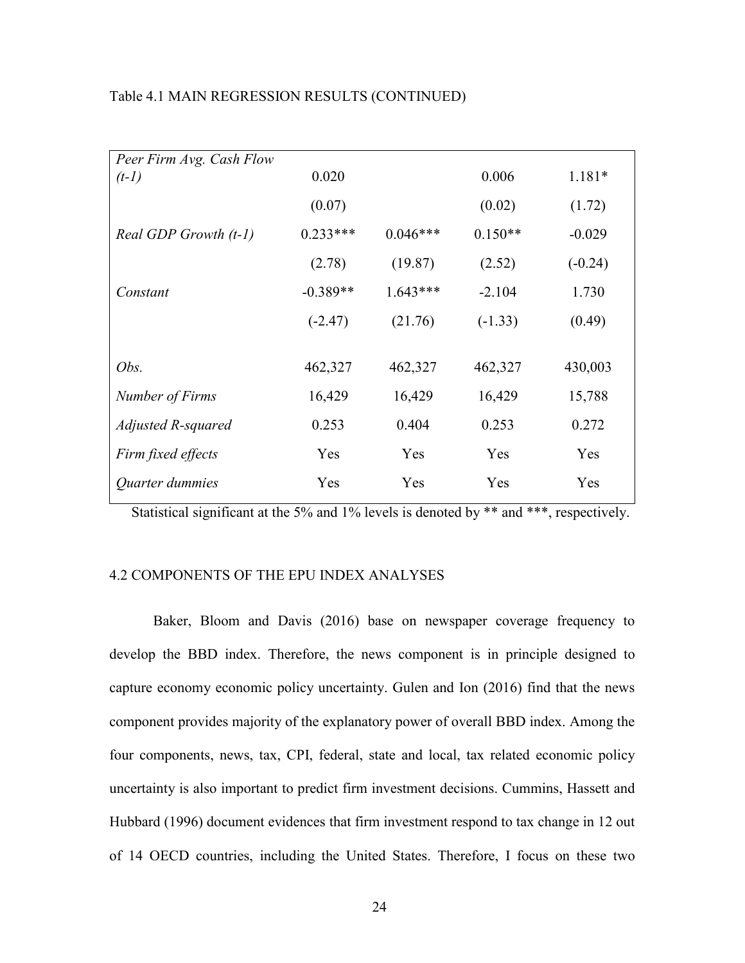| Peer Firm Avg. Cash Flow |            |            |           |           |
|--------------------------|------------|------------|-----------|-----------|
| $(t-1)$                  | 0.020      |            | 0.006     | $1.181*$  |
|                          | (0.07)     |            | (0.02)    | (1.72)    |
| Real GDP Growth (t-1)    | $0.233***$ | $0.046***$ | $0.150**$ | $-0.029$  |
|                          | (2.78)     | (19.87)    | (2.52)    | $(-0.24)$ |
| Constant                 | $-0.389**$ | $1.643***$ | $-2.104$  | 1.730     |
|                          | $(-2.47)$  | (21.76)    | $(-1.33)$ | (0.49)    |
|                          |            |            |           |           |
| Obs.                     | 462,327    | 462,327    | 462,327   | 430,003   |
| Number of Firms          | 16,429     | 16,429     | 16,429    | 15,788    |
| Adjusted R-squared       | 0.253      | 0.404      | 0.253     | 0.272     |
| Firm fixed effects       | Yes        | Yes        | Yes       | Yes       |
| Quarter dummies          | Yes        | Yes        | Yes       | Yes       |

Table 4.1 MAIN REGRESSION RESULTS (CONTINUED)

Statistical significant at the 5% and 1% levels is denoted by \*\* and \*\*\*, respectively.

#### 4.2 COMPONENTS OF THE EPU INDEX ANALYSES

Baker, Bloom and Davis (2016) base on newspaper coverage frequency to develop the BBD index. Therefore, the news component is in principle designed to capture economy economic policy uncertainty. Gulen and Ion (2016) find that the news component provides majority of the explanatory power of overall BBD index. Among the four components, news, tax, CPI, federal, state and local, tax related economic policy uncertainty is also important to predict firm investment decisions. Cummins, Hassett and Hubbard (1996) document evidences that firm investment respond to tax change in 12 out of 14 OECD countries, including the United States. Therefore, I focus on these two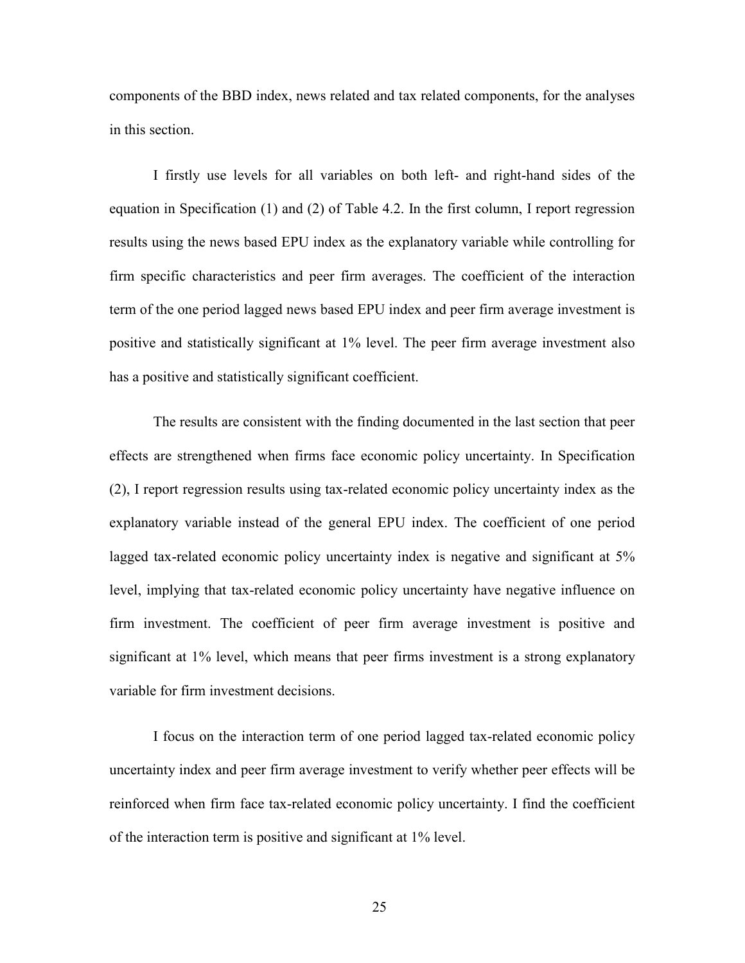components of the BBD index, news related and tax related components, for the analyses in this section.

I firstly use levels for all variables on both left- and right-hand sides of the equation in Specification (1) and (2) of Table 4.2. In the first column, I report regression results using the news based EPU index as the explanatory variable while controlling for firm specific characteristics and peer firm averages. The coefficient of the interaction term of the one period lagged news based EPU index and peer firm average investment is positive and statistically significant at 1% level. The peer firm average investment also has a positive and statistically significant coefficient.

The results are consistent with the finding documented in the last section that peer effects are strengthened when firms face economic policy uncertainty. In Specification (2), I report regression results using tax-related economic policy uncertainty index as the explanatory variable instead of the general EPU index. The coefficient of one period lagged tax-related economic policy uncertainty index is negative and significant at 5% level, implying that tax-related economic policy uncertainty have negative influence on firm investment. The coefficient of peer firm average investment is positive and significant at 1% level, which means that peer firms investment is a strong explanatory variable for firm investment decisions.

I focus on the interaction term of one period lagged tax-related economic policy uncertainty index and peer firm average investment to verify whether peer effects will be reinforced when firm face tax-related economic policy uncertainty. I find the coefficient of the interaction term is positive and significant at 1% level.

25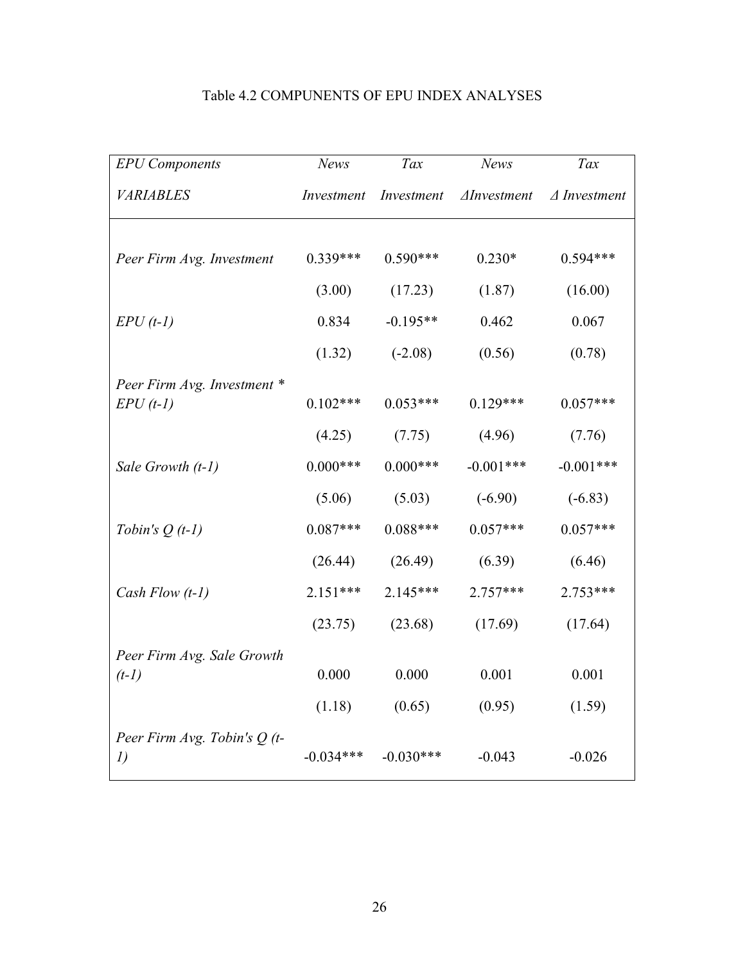| <b>EPU</b> Components               | News        | Tax         | News                | Tax                    |
|-------------------------------------|-------------|-------------|---------------------|------------------------|
| <b>VARIABLES</b>                    | Investment  | Investment  | $\Delta$ Investment | $\triangle$ Investment |
|                                     |             |             |                     |                        |
| Peer Firm Avg. Investment           | $0.339***$  | $0.590***$  | $0.230*$            | $0.594***$             |
|                                     | (3.00)      | (17.23)     | (1.87)              | (16.00)                |
| $EPU(t-1)$                          | 0.834       | $-0.195**$  | 0.462               | 0.067                  |
|                                     | (1.32)      | $(-2.08)$   | (0.56)              | (0.78)                 |
| Peer Firm Avg. Investment *         |             |             |                     |                        |
| $EPU(t-1)$                          | $0.102***$  | $0.053***$  | $0.129***$          | $0.057***$             |
|                                     | (4.25)      | (7.75)      | (4.96)              | (7.76)                 |
| Sale Growth (t-1)                   | $0.000***$  | $0.000***$  | $-0.001***$         | $-0.001***$            |
|                                     | (5.06)      | (5.03)      | $(-6.90)$           | $(-6.83)$              |
| Tobin's $Q(t-1)$                    | $0.087***$  | $0.088***$  | $0.057***$          | $0.057***$             |
|                                     | (26.44)     | (26.49)     | (6.39)              | (6.46)                 |
| Cash Flow $(t-1)$                   | $2.151***$  | 2.145***    | $2.757***$          | 2.753***               |
|                                     | (23.75)     | (23.68)     | (17.69)             | (17.64)                |
| Peer Firm Avg. Sale Growth          |             |             |                     |                        |
| $(t-1)$                             | 0.000       | 0.000       | 0.001               | 0.001                  |
|                                     | (1.18)      | (0.65)      | (0.95)              | (1.59)                 |
| Peer Firm Avg. Tobin's $Q(t-$<br>I) | $-0.034***$ | $-0.030***$ | $-0.043$            | $-0.026$               |

### Table 4.2 COMPUNENTS OF EPU INDEX ANALYSES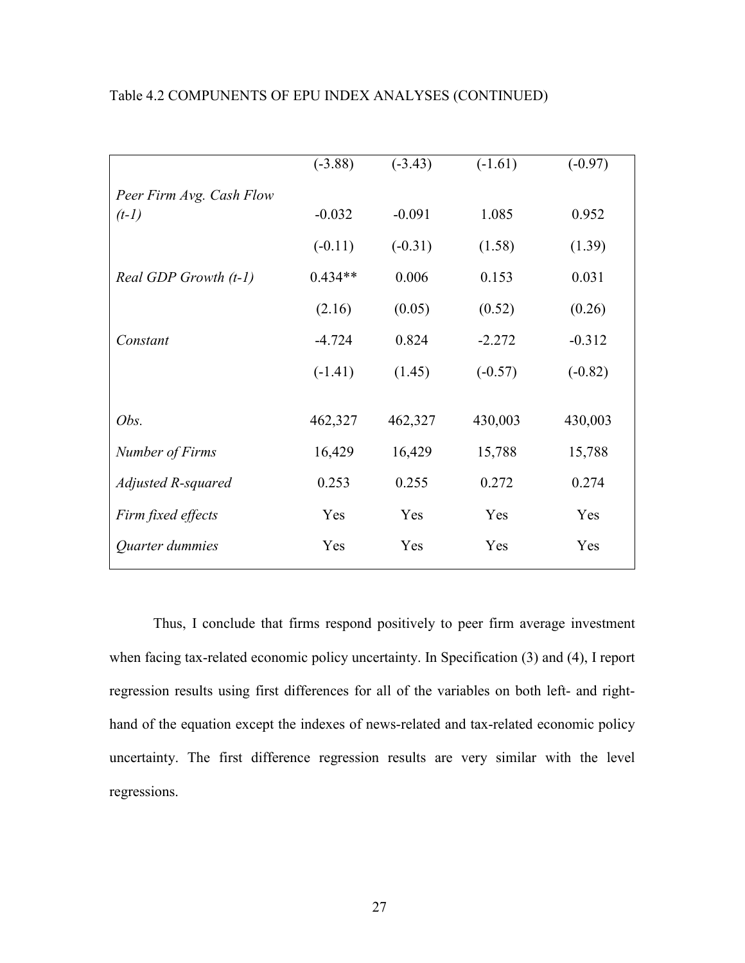|                          | $(-3.88)$ | $(-3.43)$ | $(-1.61)$ | $(-0.97)$ |
|--------------------------|-----------|-----------|-----------|-----------|
| Peer Firm Avg. Cash Flow |           |           |           |           |
| $(t-1)$                  | $-0.032$  | $-0.091$  | 1.085     | 0.952     |
|                          | $(-0.11)$ | $(-0.31)$ | (1.58)    | (1.39)    |
| Real GDP Growth (t-1)    | $0.434**$ | 0.006     | 0.153     | 0.031     |
|                          | (2.16)    | (0.05)    | (0.52)    | (0.26)    |
| Constant                 | $-4.724$  | 0.824     | $-2.272$  | $-0.312$  |
|                          | $(-1.41)$ | (1.45)    | $(-0.57)$ | $(-0.82)$ |
|                          |           |           |           |           |
| Obs.                     | 462,327   | 462,327   | 430,003   | 430,003   |
| Number of Firms          | 16,429    | 16,429    | 15,788    | 15,788    |
| Adjusted R-squared       | 0.253     | 0.255     | 0.272     | 0.274     |
| Firm fixed effects       | Yes       | Yes       | Yes       | Yes       |
| Quarter dummies          | Yes       | Yes       | Yes       | Yes       |
|                          |           |           |           |           |

#### Table 4.2 COMPUNENTS OF EPU INDEX ANALYSES (CONTINUED)

Thus, I conclude that firms respond positively to peer firm average investment when facing tax-related economic policy uncertainty. In Specification (3) and (4), I report regression results using first differences for all of the variables on both left- and righthand of the equation except the indexes of news-related and tax-related economic policy uncertainty. The first difference regression results are very similar with the level regressions.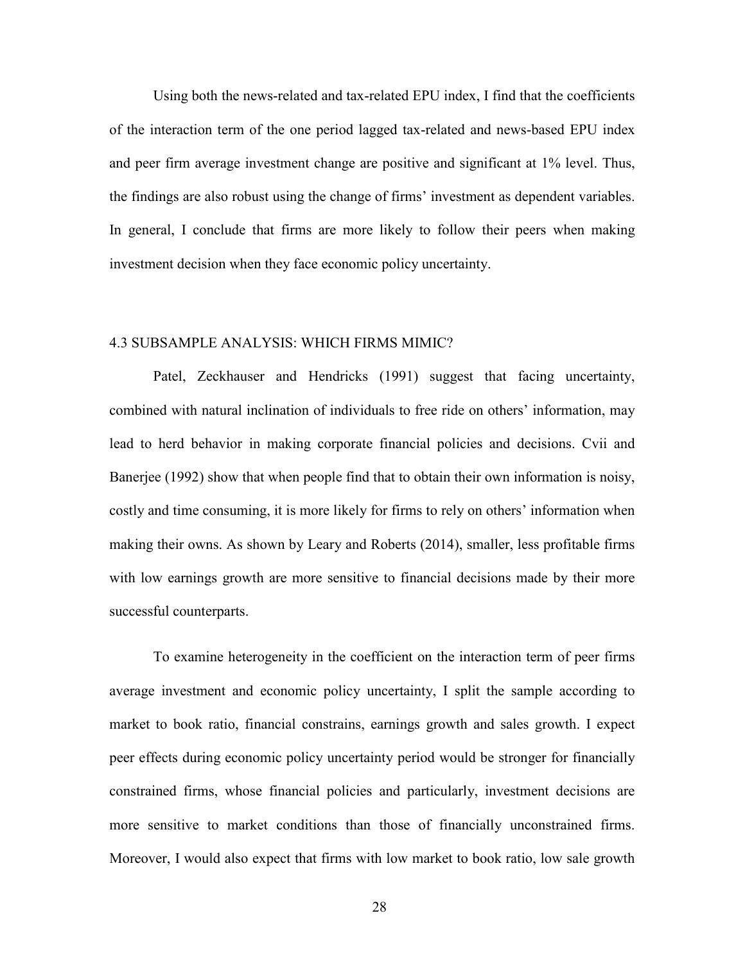Using both the news-related and tax-related EPU index, I find that the coefficients of the interaction term of the one period lagged tax-related and news-based EPU index and peer firm average investment change are positive and significant at 1% level. Thus, the findings are also robust using the change of firms' investment as dependent variables. In general, I conclude that firms are more likely to follow their peers when making investment decision when they face economic policy uncertainty.

#### 4.3 SUBSAMPLE ANALYSIS: WHICH FIRMS MIMIC?

Patel, Zeckhauser and Hendricks (1991) suggest that facing uncertainty, combined with natural inclination of individuals to free ride on others' information, may lead to herd behavior in making corporate financial policies and decisions. Cvii and Banerjee (1992) show that when people find that to obtain their own information is noisy, costly and time consuming, it is more likely for firms to rely on others' information when making their owns. As shown by Leary and Roberts (2014), smaller, less profitable firms with low earnings growth are more sensitive to financial decisions made by their more successful counterparts.

To examine heterogeneity in the coefficient on the interaction term of peer firms average investment and economic policy uncertainty, I split the sample according to market to book ratio, financial constrains, earnings growth and sales growth. I expect peer effects during economic policy uncertainty period would be stronger for financially constrained firms, whose financial policies and particularly, investment decisions are more sensitive to market conditions than those of financially unconstrained firms. Moreover, I would also expect that firms with low market to book ratio, low sale growth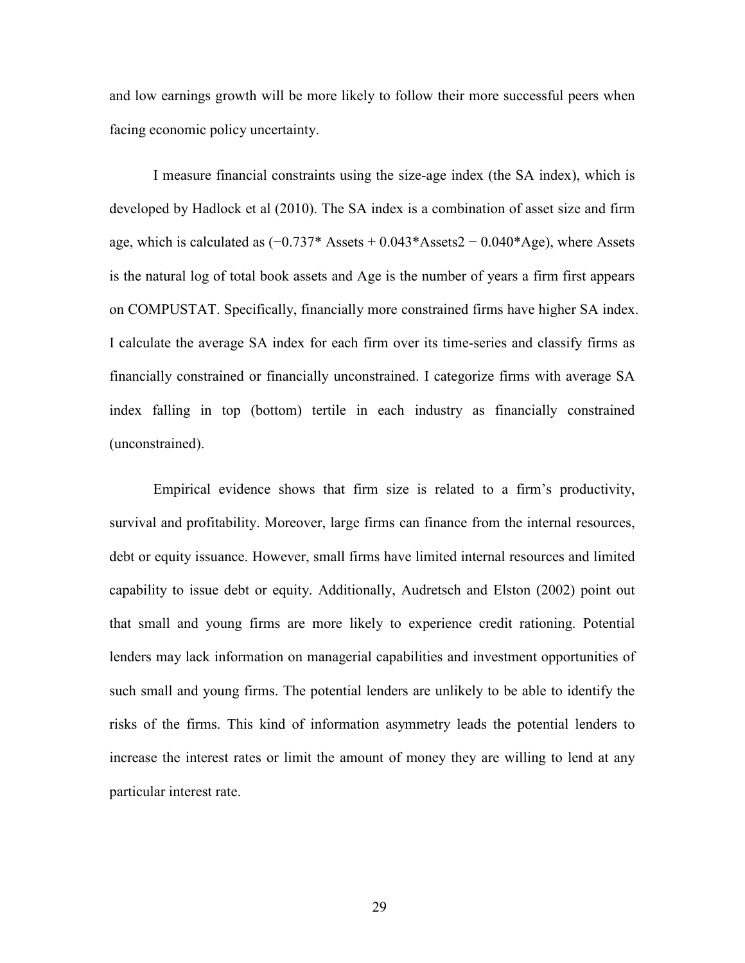and low earnings growth will be more likely to follow their more successful peers when facing economic policy uncertainty.

I measure financial constraints using the size-age index (the SA index), which is developed by Hadlock et al (2010). The SA index is a combination of asset size and firm age, which is calculated as  $(-0.737^*$  Assets +  $0.043^*$ Assets $2 - 0.040^*$ Age), where Assets is the natural log of total book assets and Age is the number of years a firm first appears on COMPUSTAT. Specifically, financially more constrained firms have higher SA index. I calculate the average SA index for each firm over its time-series and classify firms as financially constrained or financially unconstrained. I categorize firms with average SA index falling in top (bottom) tertile in each industry as financially constrained (unconstrained).

Empirical evidence shows that firm size is related to a firm's productivity, survival and profitability. Moreover, large firms can finance from the internal resources, debt or equity issuance. However, small firms have limited internal resources and limited capability to issue debt or equity. Additionally, Audretsch and Elston (2002) point out that small and young firms are more likely to experience credit rationing. Potential lenders may lack information on managerial capabilities and investment opportunities of such small and young firms. The potential lenders are unlikely to be able to identify the risks of the firms. This kind of information asymmetry leads the potential lenders to increase the interest rates or limit the amount of money they are willing to lend at any particular interest rate.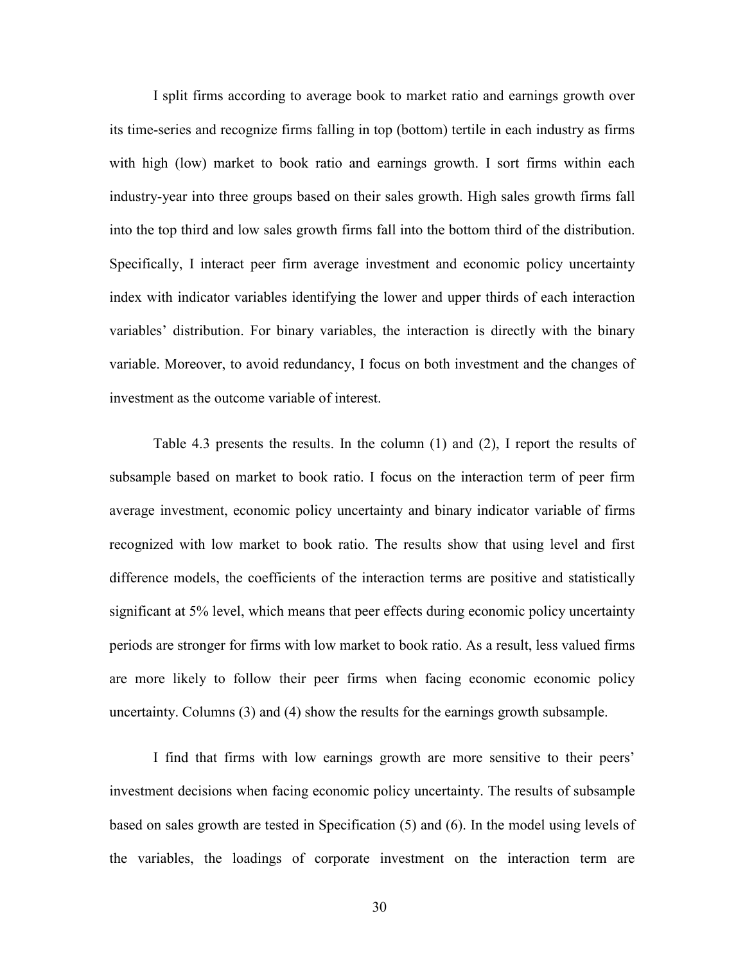I split firms according to average book to market ratio and earnings growth over its time-series and recognize firms falling in top (bottom) tertile in each industry as firms with high (low) market to book ratio and earnings growth. I sort firms within each industry-year into three groups based on their sales growth. High sales growth firms fall into the top third and low sales growth firms fall into the bottom third of the distribution. Specifically, I interact peer firm average investment and economic policy uncertainty index with indicator variables identifying the lower and upper thirds of each interaction variables' distribution. For binary variables, the interaction is directly with the binary variable. Moreover, to avoid redundancy, I focus on both investment and the changes of investment as the outcome variable of interest.

Table 4.3 presents the results. In the column (1) and (2), I report the results of subsample based on market to book ratio. I focus on the interaction term of peer firm average investment, economic policy uncertainty and binary indicator variable of firms recognized with low market to book ratio. The results show that using level and first difference models, the coefficients of the interaction terms are positive and statistically significant at 5% level, which means that peer effects during economic policy uncertainty periods are stronger for firms with low market to book ratio. As a result, less valued firms are more likely to follow their peer firms when facing economic economic policy uncertainty. Columns (3) and (4) show the results for the earnings growth subsample.

I find that firms with low earnings growth are more sensitive to their peers' investment decisions when facing economic policy uncertainty. The results of subsample based on sales growth are tested in Specification (5) and (6). In the model using levels of the variables, the loadings of corporate investment on the interaction term are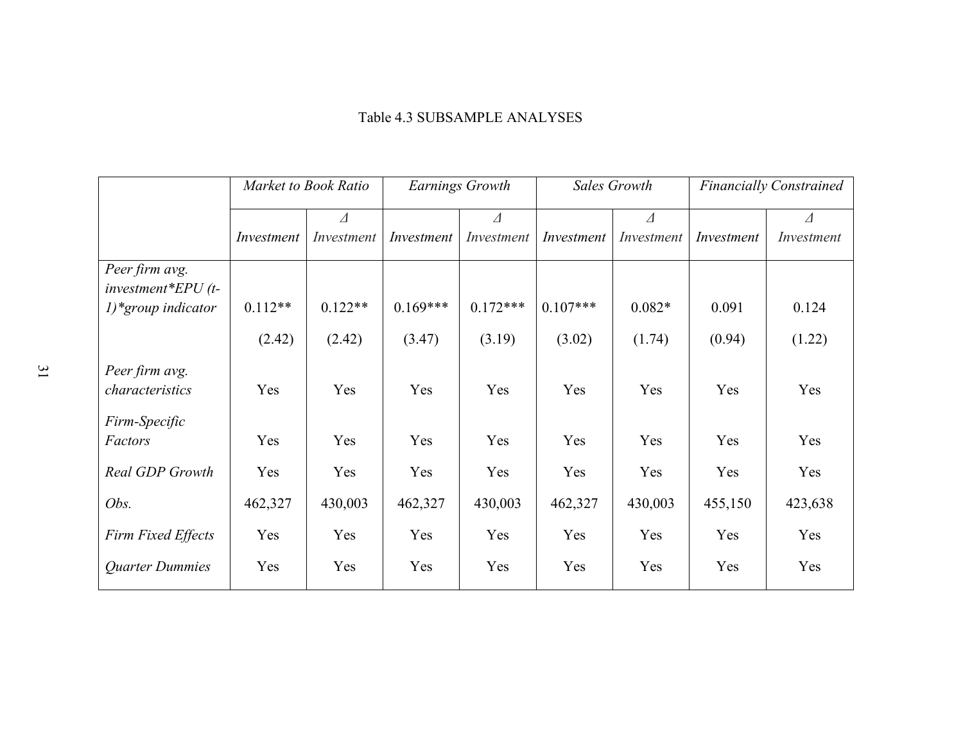## Table 4.3 SUBSAMPLE ANALYSES

|                                       | Market to Book Ratio |             | Earnings Growth |            | Sales Growth |            | <b>Financially Constrained</b> |             |
|---------------------------------------|----------------------|-------------|-----------------|------------|--------------|------------|--------------------------------|-------------|
|                                       |                      | $\varDelta$ |                 | Δ          |              | $\Delta$   |                                | $\varDelta$ |
|                                       | Investment           | Investment  | Investment      | Investment | Investment   | Investment | Investment                     | Investment  |
| Peer firm avg.<br>$investment*EPU(t-$ |                      |             |                 |            |              |            |                                |             |
| 1)*group indicator                    | $0.112**$            | $0.122**$   | $0.169***$      | $0.172***$ | $0.107***$   | $0.082*$   | 0.091                          | 0.124       |
|                                       | (2.42)               | (2.42)      | (3.47)          | (3.19)     | (3.02)       | (1.74)     | (0.94)                         | (1.22)      |
| Peer firm avg.<br>characteristics     | Yes                  | Yes         | Yes             | Yes        | Yes          | Yes        | Yes                            | Yes         |
| Firm-Specific<br>Factors              | Yes                  | Yes         | Yes             | Yes        | Yes          | Yes        | Yes                            | Yes         |
| Real GDP Growth                       | Yes                  | Yes         | Yes             | Yes        | Yes          | Yes        | Yes                            | Yes         |
| Obs.                                  | 462,327              | 430,003     | 462,327         | 430,003    | 462,327      | 430,003    | 455,150                        | 423,638     |
| Firm Fixed Effects                    | Yes                  | Yes         | Yes             | Yes        | Yes          | Yes        | Yes                            | Yes         |
| <b>Quarter Dummies</b>                | Yes                  | Yes         | Yes             | Yes        | Yes          | Yes        | Yes                            | Yes         |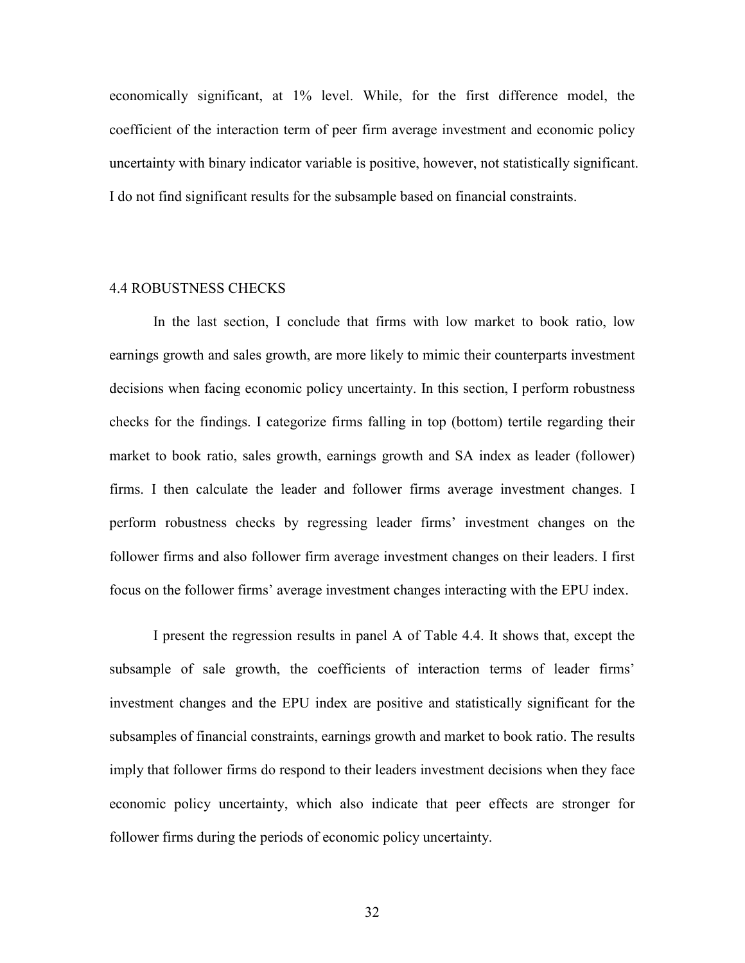economically significant, at 1% level. While, for the first difference model, the coefficient of the interaction term of peer firm average investment and economic policy uncertainty with binary indicator variable is positive, however, not statistically significant. I do not find significant results for the subsample based on financial constraints.

#### 4.4 ROBUSTNESS CHECKS

In the last section, I conclude that firms with low market to book ratio, low earnings growth and sales growth, are more likely to mimic their counterparts investment decisions when facing economic policy uncertainty. In this section, I perform robustness checks for the findings. I categorize firms falling in top (bottom) tertile regarding their market to book ratio, sales growth, earnings growth and SA index as leader (follower) firms. I then calculate the leader and follower firms average investment changes. I perform robustness checks by regressing leader firms' investment changes on the follower firms and also follower firm average investment changes on their leaders. I first focus on the follower firms' average investment changes interacting with the EPU index.

I present the regression results in panel A of Table 4.4. It shows that, except the subsample of sale growth, the coefficients of interaction terms of leader firms' investment changes and the EPU index are positive and statistically significant for the subsamples of financial constraints, earnings growth and market to book ratio. The results imply that follower firms do respond to their leaders investment decisions when they face economic policy uncertainty, which also indicate that peer effects are stronger for follower firms during the periods of economic policy uncertainty.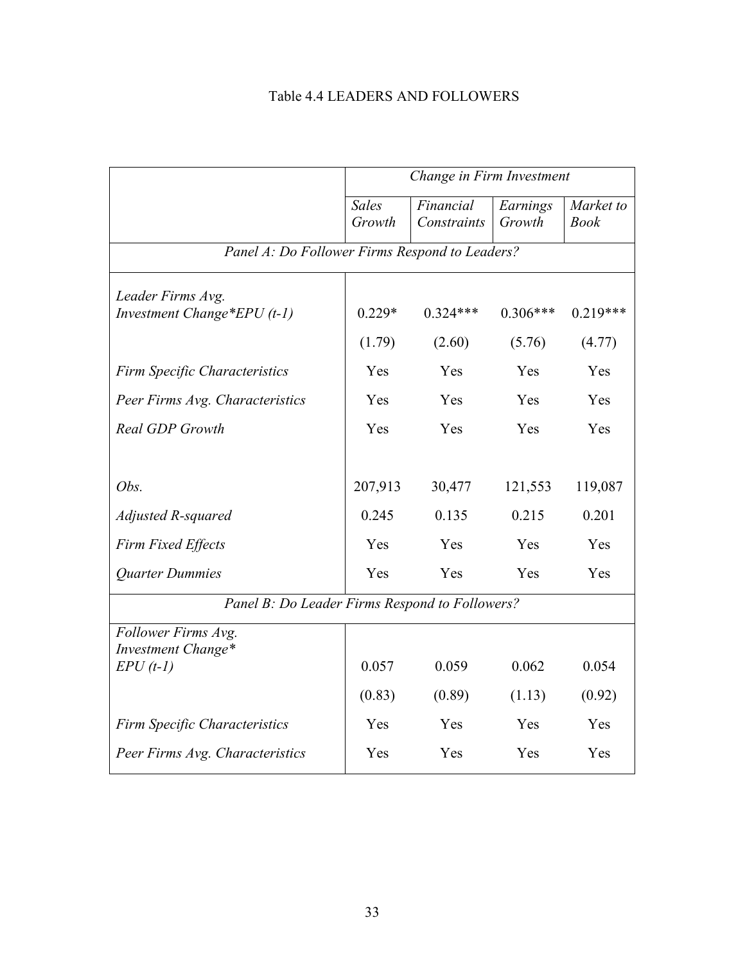# Table 4.4 LEADERS AND FOLLOWERS

|                                                    | Change in Firm Investment |                          |                    |                          |  |  |
|----------------------------------------------------|---------------------------|--------------------------|--------------------|--------------------------|--|--|
|                                                    | <b>Sales</b><br>Growth    | Financial<br>Constraints | Earnings<br>Growth | Market to<br><b>Book</b> |  |  |
| Panel A: Do Follower Firms Respond to Leaders?     |                           |                          |                    |                          |  |  |
| Leader Firms Avg.<br>Investment Change*EPU $(t-1)$ | $0.229*$                  | $0.324***$               | $0.306***$         | $0.219***$               |  |  |
|                                                    | (1.79)                    | (2.60)                   | (5.76)             | (4.77)                   |  |  |
| Firm Specific Characteristics                      | Yes                       | Yes                      | Yes                | Yes                      |  |  |
| Peer Firms Avg. Characteristics                    | Yes                       | Yes                      | Yes                | Yes                      |  |  |
| Real GDP Growth                                    | Yes                       | Yes                      | Yes                | Yes                      |  |  |
|                                                    |                           |                          |                    |                          |  |  |
| Obs.                                               | 207,913                   | 30,477                   | 121,553            | 119,087                  |  |  |
| Adjusted R-squared                                 | 0.245                     | 0.135                    | 0.215              | 0.201                    |  |  |
| <b>Firm Fixed Effects</b>                          | Yes                       | Yes                      | Yes                | Yes                      |  |  |
| Quarter Dummies                                    | Yes                       | Yes                      | Yes                | Yes                      |  |  |
| Panel B: Do Leader Firms Respond to Followers?     |                           |                          |                    |                          |  |  |
| Follower Firms Avg.<br>Investment Change*          |                           |                          |                    |                          |  |  |
| $EPU(t-1)$                                         | 0.057                     | 0.059                    | 0.062              | 0.054                    |  |  |
|                                                    | (0.83)                    | (0.89)                   | (1.13)             | (0.92)                   |  |  |
| <b>Firm Specific Characteristics</b>               | Yes                       | Yes                      | Yes                | Yes                      |  |  |
| Peer Firms Avg. Characteristics                    | Yes                       | Yes                      | Yes                | Yes                      |  |  |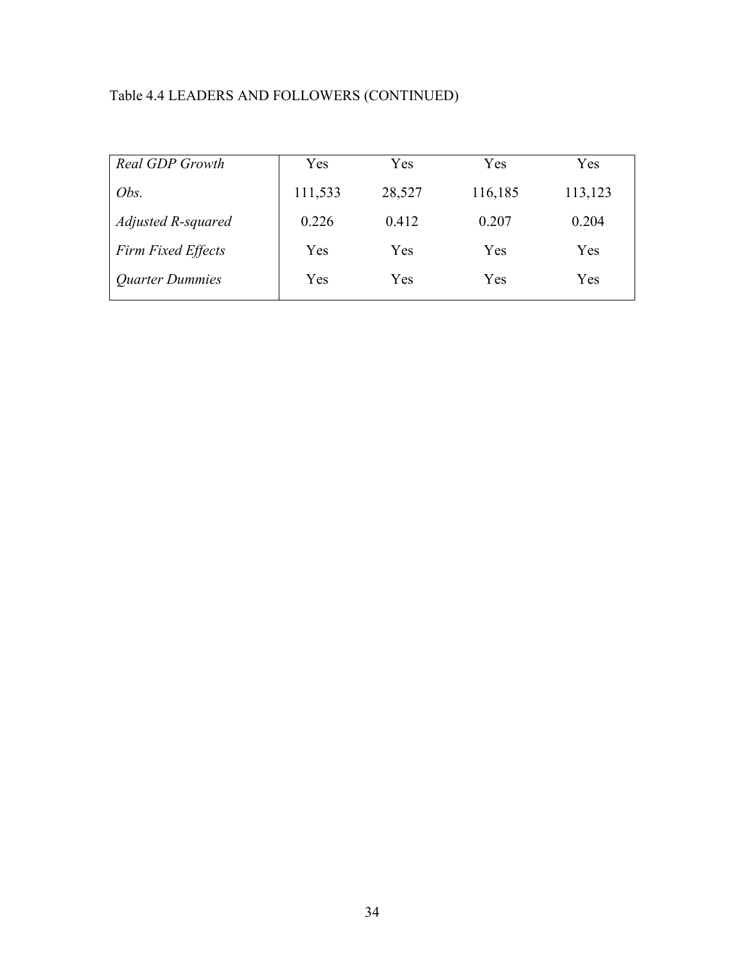# Table 4.4 LEADERS AND FOLLOWERS (CONTINUED)

| <b>Real GDP Growth</b>    | Yes     | Yes    | Yes     | Yes     |
|---------------------------|---------|--------|---------|---------|
| Obs.                      | 111,533 | 28,527 | 116,185 | 113,123 |
| Adjusted R-squared        | 0.226   | 0.412  | 0.207   | 0.204   |
| <b>Firm Fixed Effects</b> | Yes     | Yes    | Yes     | Yes     |
| <b>Quarter Dummies</b>    | Yes     | Yes    | Yes     | Yes     |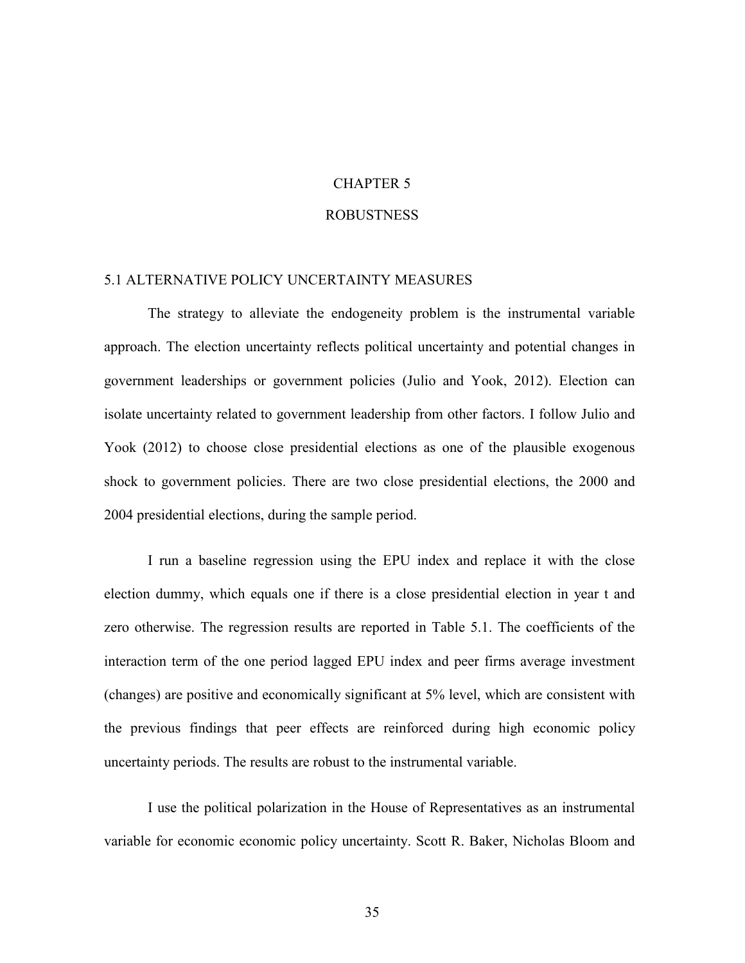# CHAPTER 5

#### ROBUSTNESS

#### 5.1 ALTERNATIVE POLICY UNCERTAINTY MEASURES

The strategy to alleviate the endogeneity problem is the instrumental variable approach. The election uncertainty reflects political uncertainty and potential changes in government leaderships or government policies (Julio and Yook, 2012). Election can isolate uncertainty related to government leadership from other factors. I follow Julio and Yook (2012) to choose close presidential elections as one of the plausible exogenous shock to government policies. There are two close presidential elections, the 2000 and 2004 presidential elections, during the sample period.

I run a baseline regression using the EPU index and replace it with the close election dummy, which equals one if there is a close presidential election in year t and zero otherwise. The regression results are reported in Table 5.1. The coefficients of the interaction term of the one period lagged EPU index and peer firms average investment (changes) are positive and economically significant at 5% level, which are consistent with the previous findings that peer effects are reinforced during high economic policy uncertainty periods. The results are robust to the instrumental variable.

I use the political polarization in the House of Representatives as an instrumental variable for economic economic policy uncertainty. Scott R. Baker, Nicholas Bloom and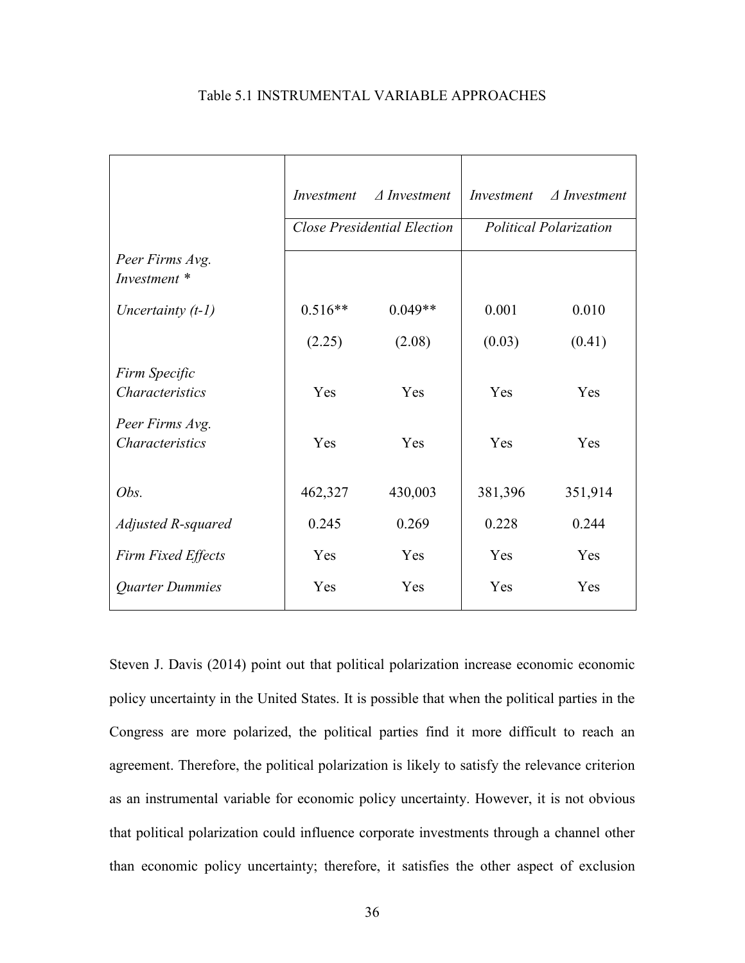|                                           | Investment | $\triangle$ Investment             | Investment | $\triangle$ Investment        |
|-------------------------------------------|------------|------------------------------------|------------|-------------------------------|
|                                           |            | <b>Close Presidential Election</b> |            | <b>Political Polarization</b> |
| Peer Firms Avg.<br>Investment *           |            |                                    |            |                               |
| Uncertainty $(t-1)$                       | $0.516**$  | $0.049**$                          | 0.001      | 0.010                         |
|                                           | (2.25)     | (2.08)                             | (0.03)     | (0.41)                        |
| Firm Specific<br><b>Characteristics</b>   | Yes        | Yes                                | Yes        | Yes                           |
| Peer Firms Avg.<br><b>Characteristics</b> | Yes        | Yes                                | Yes        | Yes                           |
| Obs.                                      | 462,327    | 430,003                            | 381,396    | 351,914                       |
| Adjusted R-squared                        | 0.245      | 0.269                              | 0.228      | 0.244                         |
| Firm Fixed Effects                        | Yes        | Yes                                | Yes        | Yes                           |
| Quarter Dummies                           | Yes        | Yes                                | Yes        | Yes                           |

#### Table 5.1 INSTRUMENTAL VARIABLE APPROACHES

Steven J. Davis (2014) point out that political polarization increase economic economic policy uncertainty in the United States. It is possible that when the political parties in the Congress are more polarized, the political parties find it more difficult to reach an agreement. Therefore, the political polarization is likely to satisfy the relevance criterion as an instrumental variable for economic policy uncertainty. However, it is not obvious that political polarization could influence corporate investments through a channel other than economic policy uncertainty; therefore, it satisfies the other aspect of exclusion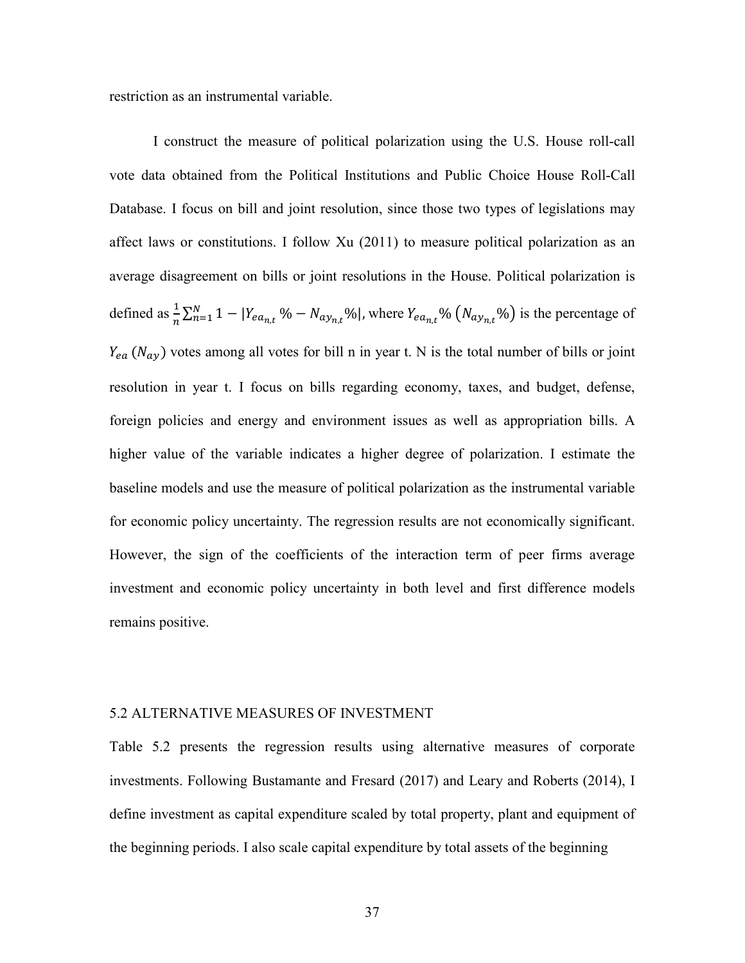restriction as an instrumental variable.

I construct the measure of political polarization using the U.S. House roll-call vote data obtained from the Political Institutions and Public Choice House Roll-Call Database. I focus on bill and joint resolution, since those two types of legislations may affect laws or constitutions. I follow Xu (2011) to measure political polarization as an average disagreement on bills or joint resolutions in the House. Political polarization is defined as  $\frac{1}{n} \sum_{n=1}^{N} 1 - |Y_{ea_{n,t}} \% - N_{a y_{n,t}} \%|$ , where  $Y_{ea_{n,t}} \% (N_{a y_{n,t}} \%)$  is the percentage of  $Y_{ea}$  ( $N_{ay}$ ) votes among all votes for bill n in year t. N is the total number of bills or joint resolution in year t. I focus on bills regarding economy, taxes, and budget, defense, foreign policies and energy and environment issues as well as appropriation bills. A higher value of the variable indicates a higher degree of polarization. I estimate the baseline models and use the measure of political polarization as the instrumental variable for economic policy uncertainty. The regression results are not economically significant. However, the sign of the coefficients of the interaction term of peer firms average investment and economic policy uncertainty in both level and first difference models remains positive.

#### 5.2 ALTERNATIVE MEASURES OF INVESTMENT

Table 5.2 presents the regression results using alternative measures of corporate investments. Following Bustamante and Fresard (2017) and Leary and Roberts (2014), I define investment as capital expenditure scaled by total property, plant and equipment of the beginning periods. I also scale capital expenditure by total assets of the beginning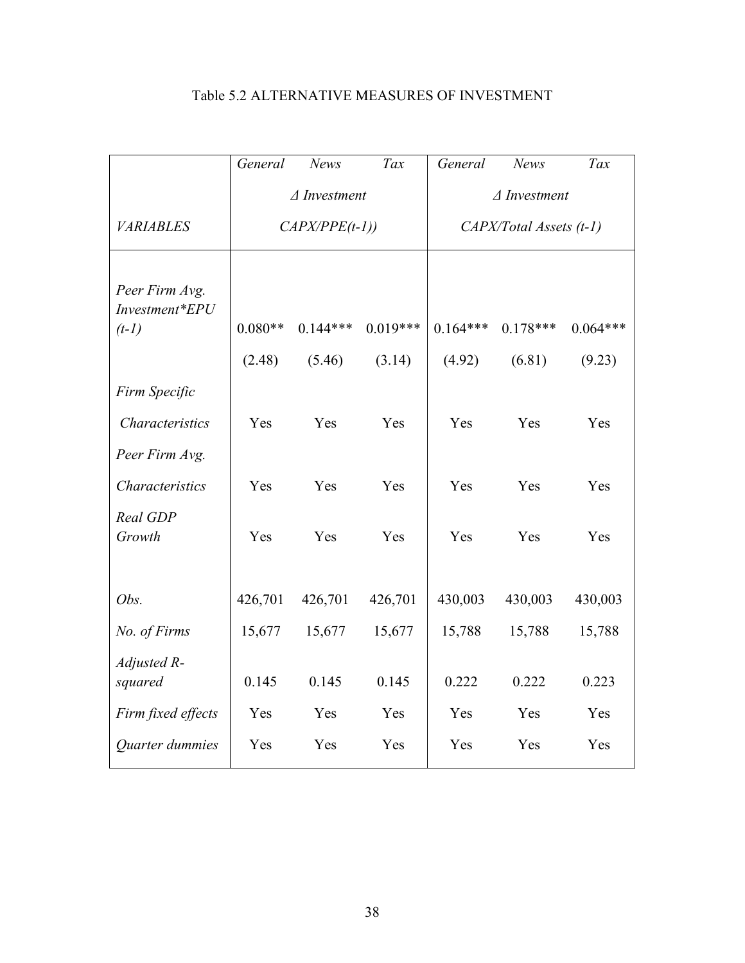|                                             | General                | News       | Tax        | General                 | <b>News</b> | Tax        |
|---------------------------------------------|------------------------|------------|------------|-------------------------|-------------|------------|
|                                             | $\triangle$ Investment |            |            | $\triangle$ Investment  |             |            |
| <b>VARIABLES</b>                            | $CAPX/PPE(t-1))$       |            |            | CAPX/Total Assets (t-1) |             |            |
| Peer Firm Avg.<br>Investment*EPU<br>$(t-1)$ | $0.080**$              | $0.144***$ | $0.019***$ | $0.164***$              | $0.178***$  | $0.064***$ |
|                                             | (2.48)                 | (5.46)     | (3.14)     | (4.92)                  | (6.81)      | (9.23)     |
| Firm Specific                               |                        |            |            |                         |             |            |
| Characteristics                             | Yes                    | Yes        | Yes        | Yes                     | Yes         | Yes        |
| Peer Firm Avg.                              |                        |            |            |                         |             |            |
| Characteristics                             | Yes                    | Yes        | Yes        | Yes                     | Yes         | Yes        |
| Real GDP<br>Growth                          | Yes                    | Yes        | Yes        | Yes                     | Yes         | Yes        |
| Obs.                                        | 426,701                | 426,701    | 426,701    | 430,003                 | 430,003     | 430,003    |
| No. of Firms                                | 15,677                 | 15,677     | 15,677     | 15,788                  | 15,788      | 15,788     |
| Adjusted R-<br>squared                      | 0.145                  | 0.145      | 0.145      | 0.222                   | 0.222       | 0.223      |
| Firm fixed effects                          | Yes                    | Yes        | Yes        | Yes                     | Yes         | Yes        |
| Quarter dummies                             | Yes                    | Yes        | Yes        | Yes                     | Yes         | Yes        |

## Table 5.2 ALTERNATIVE MEASURES OF INVESTMENT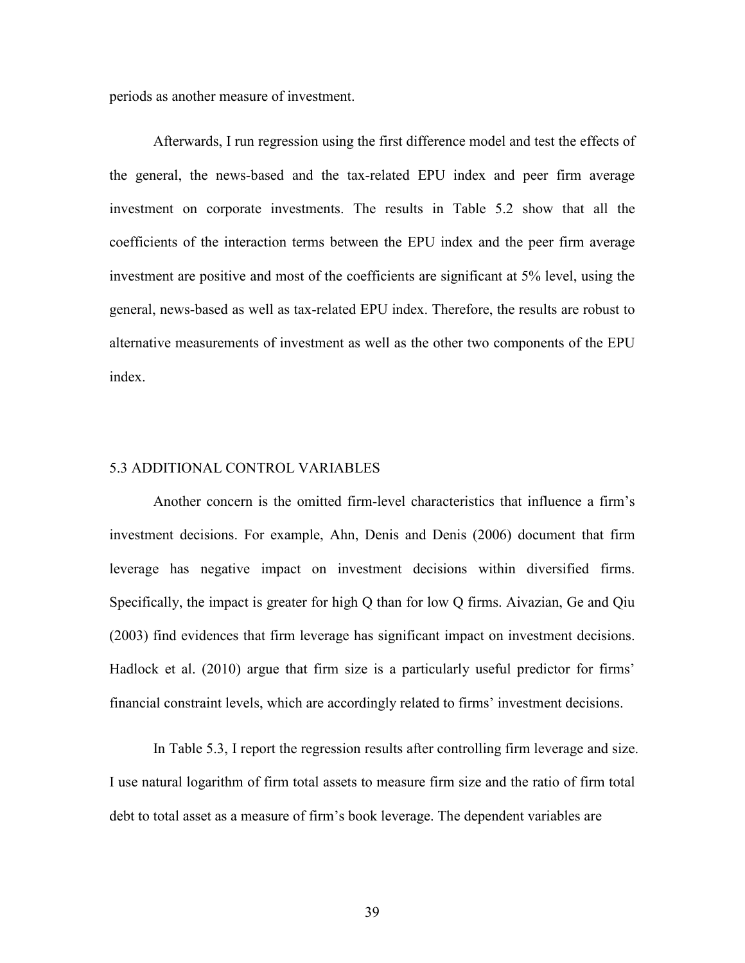periods as another measure of investment.

Afterwards, I run regression using the first difference model and test the effects of the general, the news-based and the tax-related EPU index and peer firm average investment on corporate investments. The results in Table 5.2 show that all the coefficients of the interaction terms between the EPU index and the peer firm average investment are positive and most of the coefficients are significant at 5% level, using the general, news-based as well as tax-related EPU index. Therefore, the results are robust to alternative measurements of investment as well as the other two components of the EPU index.

#### 5.3 ADDITIONAL CONTROL VARIABLES

Another concern is the omitted firm-level characteristics that influence a firm's investment decisions. For example, Ahn, Denis and Denis (2006) document that firm leverage has negative impact on investment decisions within diversified firms. Specifically, the impact is greater for high Q than for low Q firms. Aivazian, Ge and Qiu (2003) find evidences that firm leverage has significant impact on investment decisions. Hadlock et al. (2010) argue that firm size is a particularly useful predictor for firms' financial constraint levels, which are accordingly related to firms' investment decisions.

In Table 5.3, I report the regression results after controlling firm leverage and size. I use natural logarithm of firm total assets to measure firm size and the ratio of firm total debt to total asset as a measure of firm's book leverage. The dependent variables are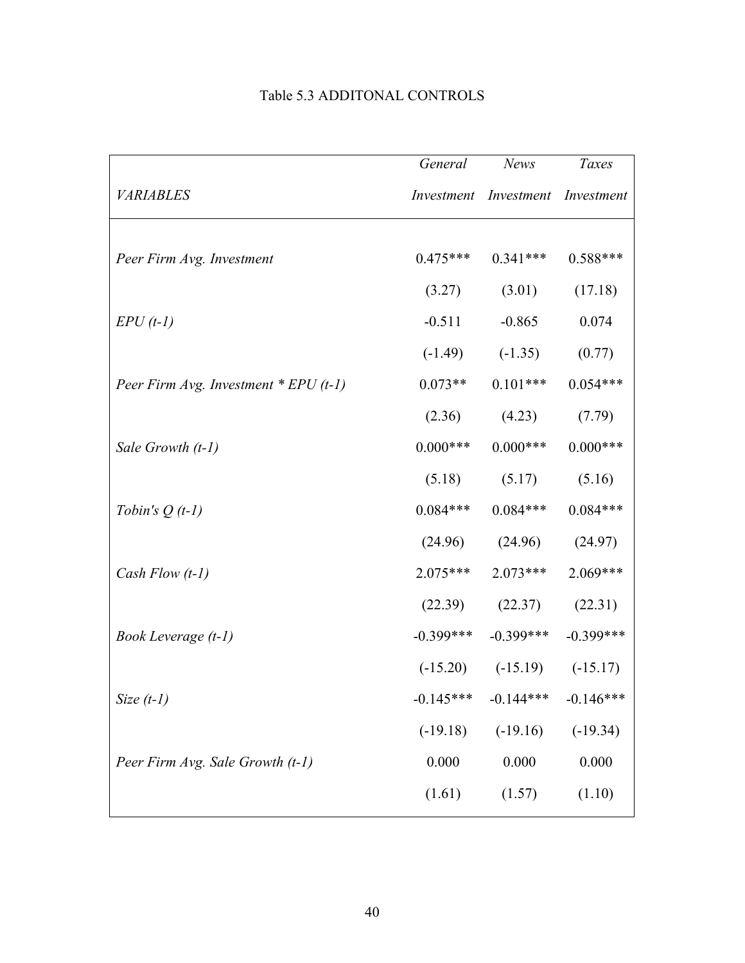|                                         | General     | <b>News</b>                      | Taxes       |
|-----------------------------------------|-------------|----------------------------------|-------------|
| <b>VARIABLES</b>                        |             | Investment Investment Investment |             |
|                                         |             |                                  |             |
| Peer Firm Avg. Investment               | $0.475***$  | $0.341***$                       | $0.588***$  |
|                                         | (3.27)      | (3.01)                           | (17.18)     |
| $EPU(t-1)$                              | $-0.511$    | $-0.865$                         | 0.074       |
|                                         | $(-1.49)$   | $(-1.35)$                        | (0.77)      |
| Peer Firm Avg. Investment $*$ EPU (t-1) | $0.073**$   | $0.101***$                       | $0.054***$  |
|                                         | (2.36)      | (4.23)                           | (7.79)      |
| Sale Growth (t-1)                       | $0.000***$  | $0.000***$                       | $0.000$ *** |
|                                         | (5.18)      | (5.17)                           | (5.16)      |
| Tobin's $Q(t-1)$                        | $0.084***$  | $0.084***$                       | $0.084***$  |
|                                         |             | $(24.96)$ $(24.96)$              | (24.97)     |
| Cash Flow $(t-1)$                       | $2.075***$  | $2.073***$                       | $2.069***$  |
|                                         | (22.39)     | (22.37)                          | (22.31)     |
| Book Leverage (t-1)                     | $-0.399***$ | $-0.399***$                      | $-0.399***$ |
|                                         |             | $(-15.20)$ $(-15.19)$ $(-15.17)$ |             |
| Size $(t-1)$                            | $-0.145***$ | $-0.144***$                      | $-0.146***$ |
|                                         | $(-19.18)$  | $(-19.16)$                       | $(-19.34)$  |
| Peer Firm Avg. Sale Growth (t-1)        | 0.000       | 0.000                            | 0.000       |
|                                         | (1.61)      | (1.57)                           | (1.10)      |
|                                         |             |                                  |             |

## Table 5.3 ADDITONAL CONTROLS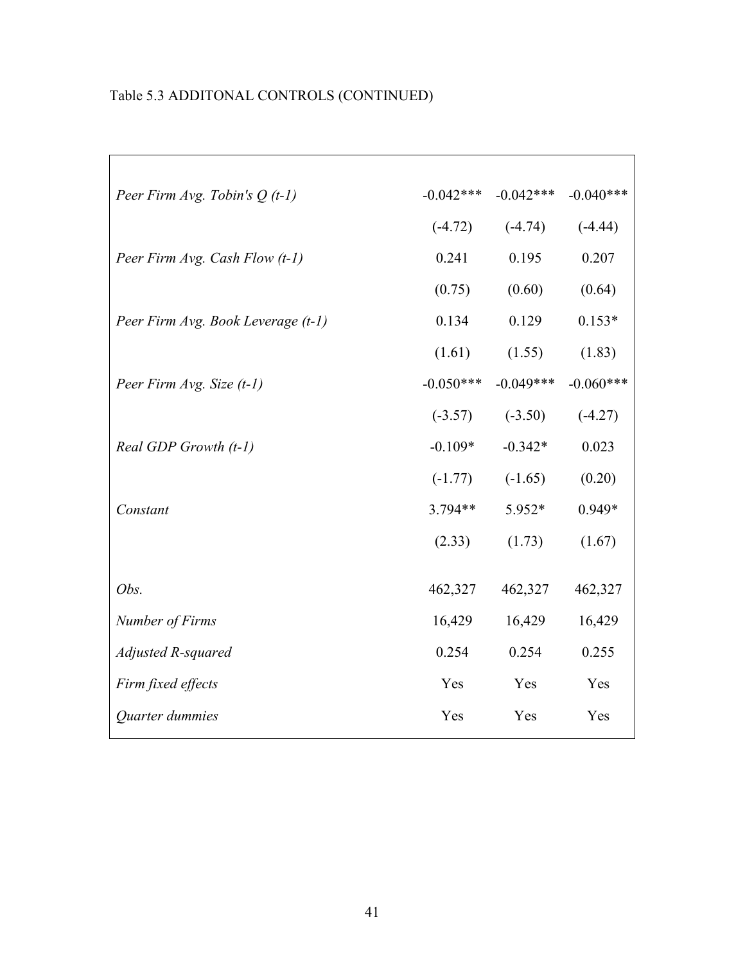# Table 5.3 ADDITONAL CONTROLS (CONTINUED)

 $\overline{\Gamma}$ 

| Peer Firm Avg. Tobin's $Q(t-1)$    | $-0.042***$ | $-0.042***$ | $-0.040***$ |
|------------------------------------|-------------|-------------|-------------|
|                                    | $(-4.72)$   | $(-4.74)$   | $(-4.44)$   |
| Peer Firm Avg. Cash Flow (t-1)     | 0.241       | 0.195       | 0.207       |
|                                    | (0.75)      | (0.60)      | (0.64)      |
| Peer Firm Avg. Book Leverage (t-1) | 0.134       | 0.129       | $0.153*$    |
|                                    | (1.61)      | (1.55)      | (1.83)      |
| Peer Firm Avg. Size (t-1)          | $-0.050***$ | $-0.049***$ | $-0.060***$ |
|                                    | $(-3.57)$   | $(-3.50)$   | $(-4.27)$   |
| Real GDP Growth (t-1)              | $-0.109*$   | $-0.342*$   | 0.023       |
|                                    | $(-1.77)$   | $(-1.65)$   | (0.20)      |
| Constant                           | 3.794**     | 5.952*      | 0.949*      |
|                                    | (2.33)      | (1.73)      | (1.67)      |
|                                    |             |             |             |
| Obs.                               | 462,327     | 462,327     | 462,327     |
| Number of Firms                    | 16,429      | 16,429      | 16,429      |
| Adjusted R-squared                 | 0.254       | 0.254       | 0.255       |
| Firm fixed effects                 | Yes         | Yes         | Yes         |
| Quarter dummies                    | Yes         | Yes         | Yes         |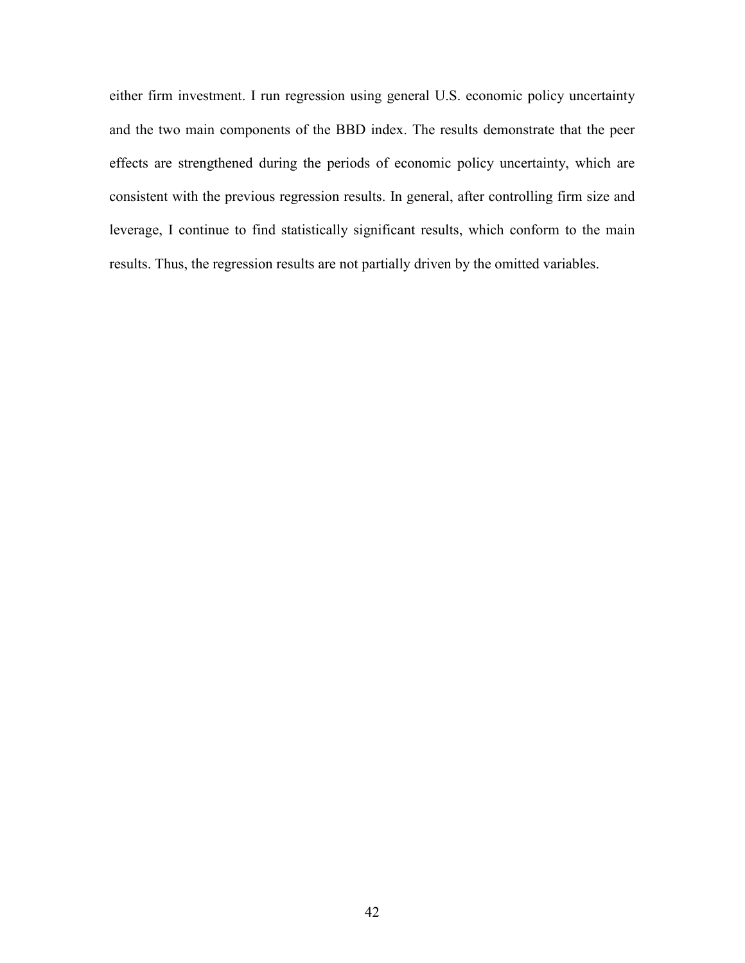either firm investment. I run regression using general U.S. economic policy uncertainty and the two main components of the BBD index. The results demonstrate that the peer effects are strengthened during the periods of economic policy uncertainty, which are consistent with the previous regression results. In general, after controlling firm size and leverage, I continue to find statistically significant results, which conform to the main results. Thus, the regression results are not partially driven by the omitted variables.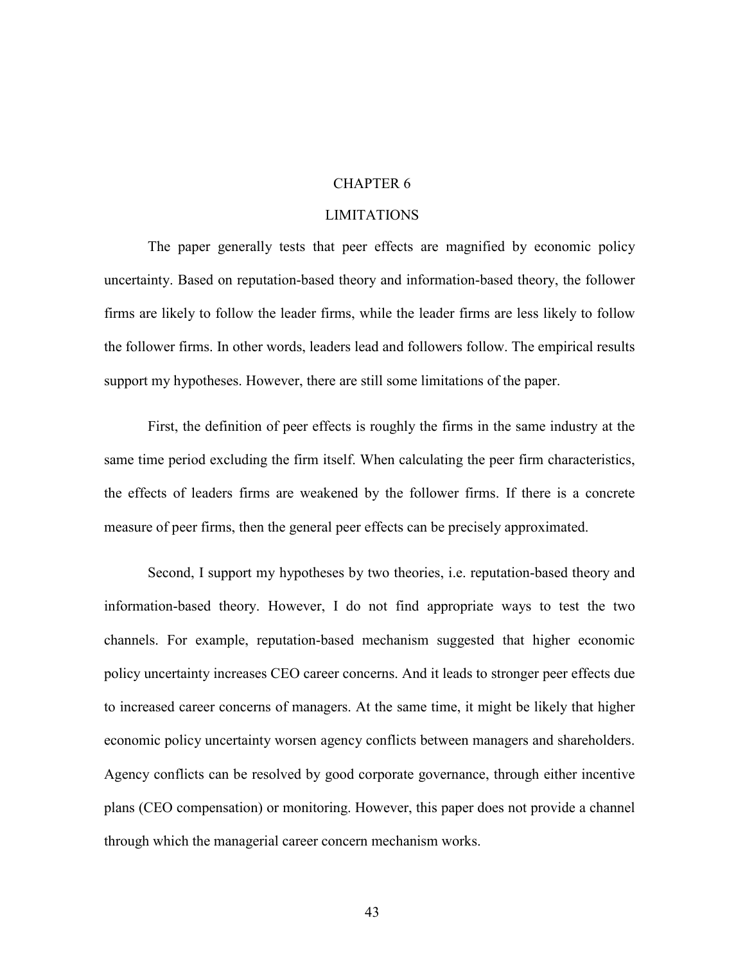#### CHAPTER 6

#### LIMITATIONS

The paper generally tests that peer effects are magnified by economic policy uncertainty. Based on reputation-based theory and information-based theory, the follower firms are likely to follow the leader firms, while the leader firms are less likely to follow the follower firms. In other words, leaders lead and followers follow. The empirical results support my hypotheses. However, there are still some limitations of the paper.

First, the definition of peer effects is roughly the firms in the same industry at the same time period excluding the firm itself. When calculating the peer firm characteristics, the effects of leaders firms are weakened by the follower firms. If there is a concrete measure of peer firms, then the general peer effects can be precisely approximated.

Second, I support my hypotheses by two theories, i.e. reputation-based theory and information-based theory. However, I do not find appropriate ways to test the two channels. For example, reputation-based mechanism suggested that higher economic policy uncertainty increases CEO career concerns. And it leads to stronger peer effects due to increased career concerns of managers. At the same time, it might be likely that higher economic policy uncertainty worsen agency conflicts between managers and shareholders. Agency conflicts can be resolved by good corporate governance, through either incentive plans (CEO compensation) or monitoring. However, this paper does not provide a channel through which the managerial career concern mechanism works.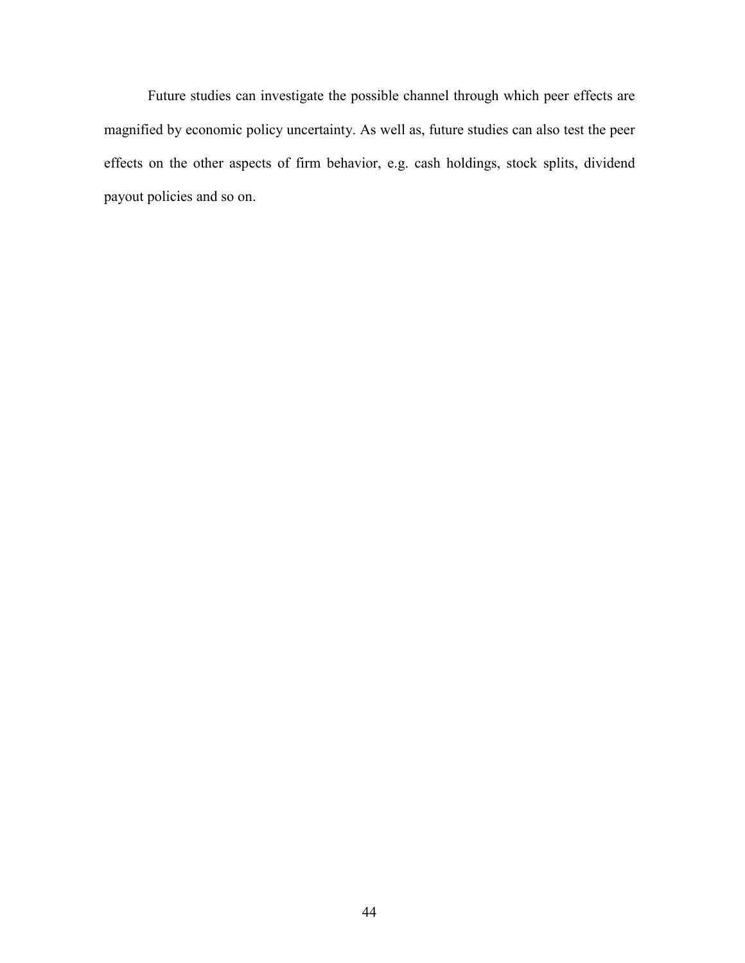Future studies can investigate the possible channel through which peer effects are magnified by economic policy uncertainty. As well as, future studies can also test the peer effects on the other aspects of firm behavior, e.g. cash holdings, stock splits, dividend payout policies and so on.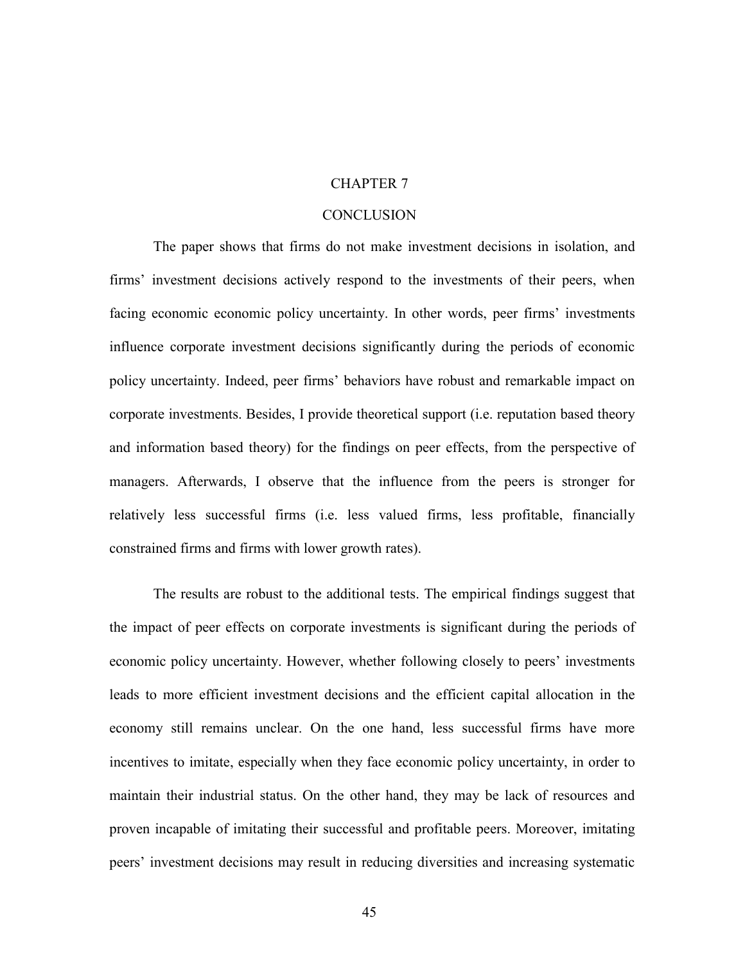#### CHAPTER 7

#### **CONCLUSION**

The paper shows that firms do not make investment decisions in isolation, and firms' investment decisions actively respond to the investments of their peers, when facing economic economic policy uncertainty. In other words, peer firms' investments influence corporate investment decisions significantly during the periods of economic policy uncertainty. Indeed, peer firms' behaviors have robust and remarkable impact on corporate investments. Besides, I provide theoretical support (i.e. reputation based theory and information based theory) for the findings on peer effects, from the perspective of managers. Afterwards, I observe that the influence from the peers is stronger for relatively less successful firms (i.e. less valued firms, less profitable, financially constrained firms and firms with lower growth rates).

The results are robust to the additional tests. The empirical findings suggest that the impact of peer effects on corporate investments is significant during the periods of economic policy uncertainty. However, whether following closely to peers' investments leads to more efficient investment decisions and the efficient capital allocation in the economy still remains unclear. On the one hand, less successful firms have more incentives to imitate, especially when they face economic policy uncertainty, in order to maintain their industrial status. On the other hand, they may be lack of resources and proven incapable of imitating their successful and profitable peers. Moreover, imitating peers' investment decisions may result in reducing diversities and increasing systematic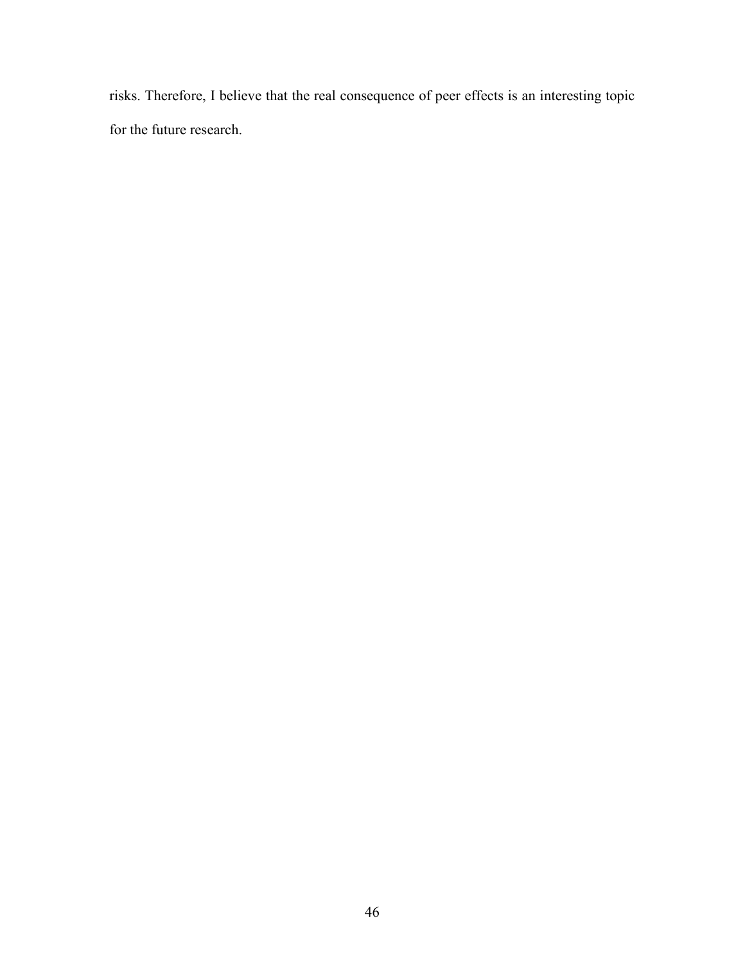risks. Therefore, I believe that the real consequence of peer effects is an interesting topic for the future research.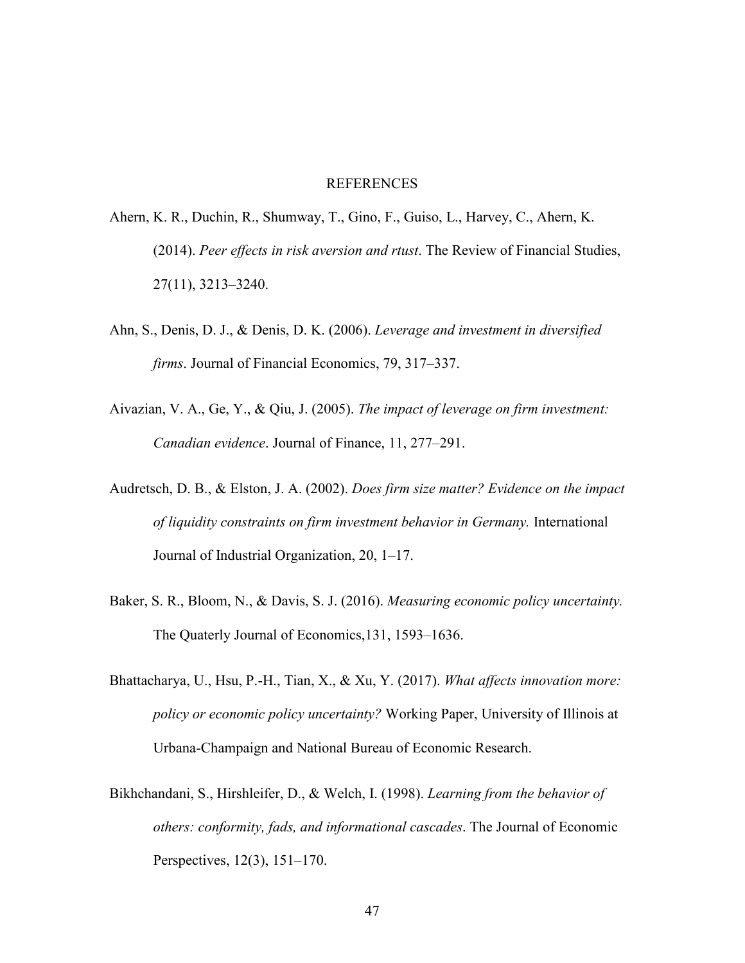#### REFERENCES

- Ahern, K. R., Duchin, R., Shumway, T., Gino, F., Guiso, L., Harvey, C., Ahern, K. (2014). *Peer effects in risk aversion and rtust*. The Review of Financial Studies, 27(11), 3213–3240.
- Ahn, S., Denis, D. J., & Denis, D. K. (2006). *Leverage and investment in diversified firms*. Journal of Financial Economics, 79, 317–337.
- Aivazian, V. A., Ge, Y., & Qiu, J. (2005). *The impact of leverage on firm investment: Canadian evidence*. Journal of Finance, 11, 277–291.
- Audretsch, D. B., & Elston, J. A. (2002). *Does firm size matter? Evidence on the impact of liquidity constraints on firm investment behavior in Germany.* International Journal of Industrial Organization, 20, 1–17.
- Baker, S. R., Bloom, N., & Davis, S. J. (2016). *Measuring economic policy uncertainty.* The Quaterly Journal of Economics,131, 1593–1636.
- Bhattacharya, U., Hsu, P.-H., Tian, X., & Xu, Y. (2017). *What affects innovation more: policy or economic policy uncertainty?* Working Paper, University of Illinois at Urbana-Champaign and National Bureau of Economic Research.
- Bikhchandani, S., Hirshleifer, D., & Welch, I. (1998). *Learning from the behavior of others: conformity, fads, and informational cascades*. The Journal of Economic Perspectives, 12(3), 151–170.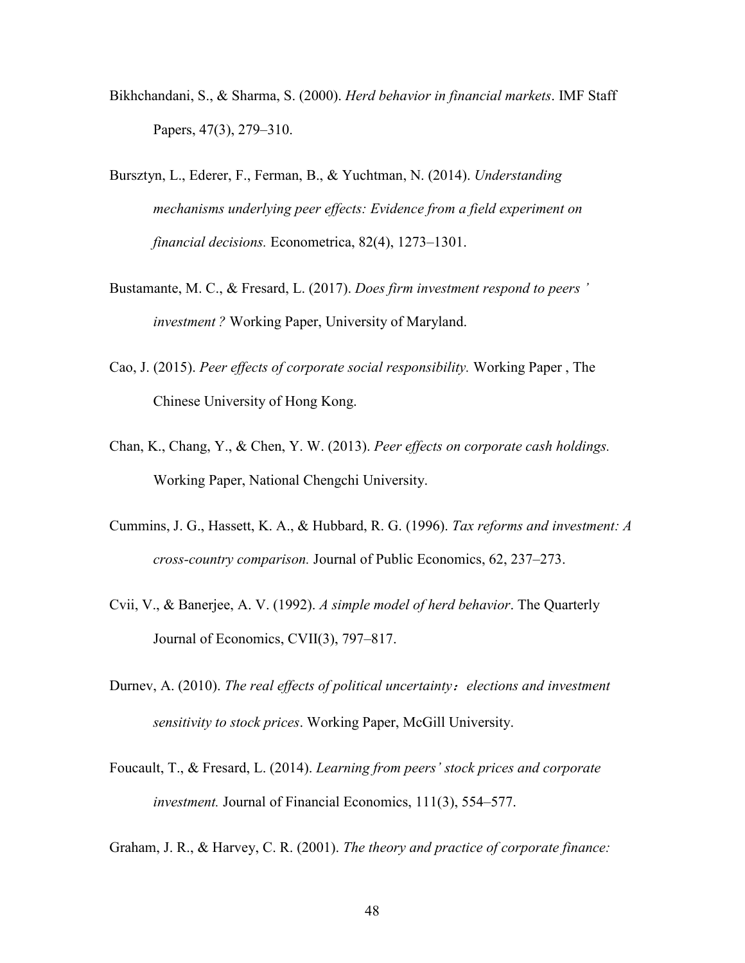- Bikhchandani, S., & Sharma, S. (2000). *Herd behavior in financial markets*. IMF Staff Papers, 47(3), 279–310.
- Bursztyn, L., Ederer, F., Ferman, B., & Yuchtman, N. (2014). *Understanding mechanisms underlying peer effects: Evidence from a field experiment on financial decisions.* Econometrica, 82(4), 1273–1301.
- Bustamante, M. C., & Fresard, L. (2017). *Does firm investment respond to peers ' investment ?* Working Paper, University of Maryland.
- Cao, J. (2015). *Peer effects of corporate social responsibility.* Working Paper , The Chinese University of Hong Kong.
- Chan, K., Chang, Y., & Chen, Y. W. (2013). *Peer effects on corporate cash holdings.* Working Paper, National Chengchi University.
- Cummins, J. G., Hassett, K. A., & Hubbard, R. G. (1996). *Tax reforms and investment: A cross-country comparison.* Journal of Public Economics, 62, 237–273.
- Cvii, V., & Banerjee, A. V. (1992). *A simple model of herd behavior*. The Quarterly Journal of Economics, CVII(3), 797–817.
- Durnev, A. (2010). *The real effects of political uncertainty*:*elections and investment sensitivity to stock prices*. Working Paper, McGill University.
- Foucault, T., & Fresard, L. (2014). *Learning from peers' stock prices and corporate investment.* Journal of Financial Economics, 111(3), 554–577.

Graham, J. R., & Harvey, C. R. (2001). *The theory and practice of corporate finance:*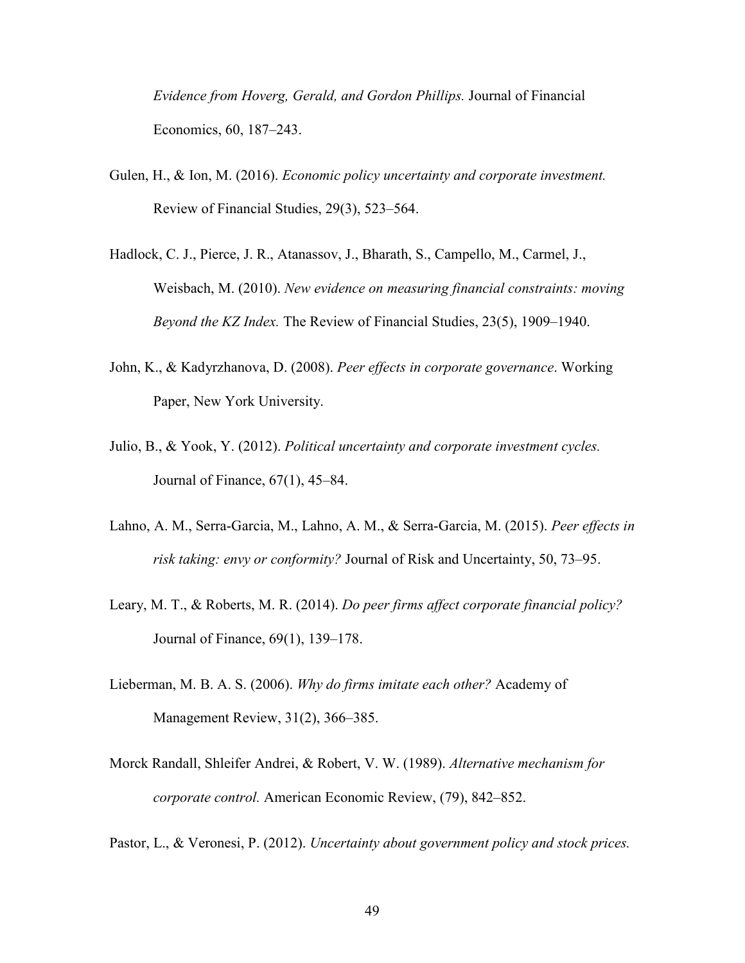*Evidence from Hoverg, Gerald, and Gordon Phillips.* Journal of Financial Economics, 60, 187–243.

- Gulen, H., & Ion, M. (2016). *Economic policy uncertainty and corporate investment.* Review of Financial Studies, 29(3), 523–564.
- Hadlock, C. J., Pierce, J. R., Atanassov, J., Bharath, S., Campello, M., Carmel, J., Weisbach, M. (2010). *New evidence on measuring financial constraints: moving Beyond the KZ Index.* The Review of Financial Studies, 23(5), 1909–1940.
- John, K., & Kadyrzhanova, D. (2008). *Peer effects in corporate governance*. Working Paper, New York University.
- Julio, B., & Yook, Y. (2012). *Political uncertainty and corporate investment cycles.* Journal of Finance, 67(1), 45–84.
- Lahno, A. M., Serra-Garcia, M., Lahno, A. M., & Serra-Garcia, M. (2015). *Peer effects in risk taking: envy or conformity?* Journal of Risk and Uncertainty, 50, 73–95.
- Leary, M. T., & Roberts, M. R. (2014). *Do peer firms affect corporate financial policy?* Journal of Finance, 69(1), 139–178.
- Lieberman, M. B. A. S. (2006). *Why do firms imitate each other?* Academy of Management Review, 31(2), 366–385.
- Morck Randall, Shleifer Andrei, & Robert, V. W. (1989). *Alternative mechanism for corporate control.* American Economic Review, (79), 842–852.
- Pastor, L., & Veronesi, P. (2012). *Uncertainty about government policy and stock prices.*